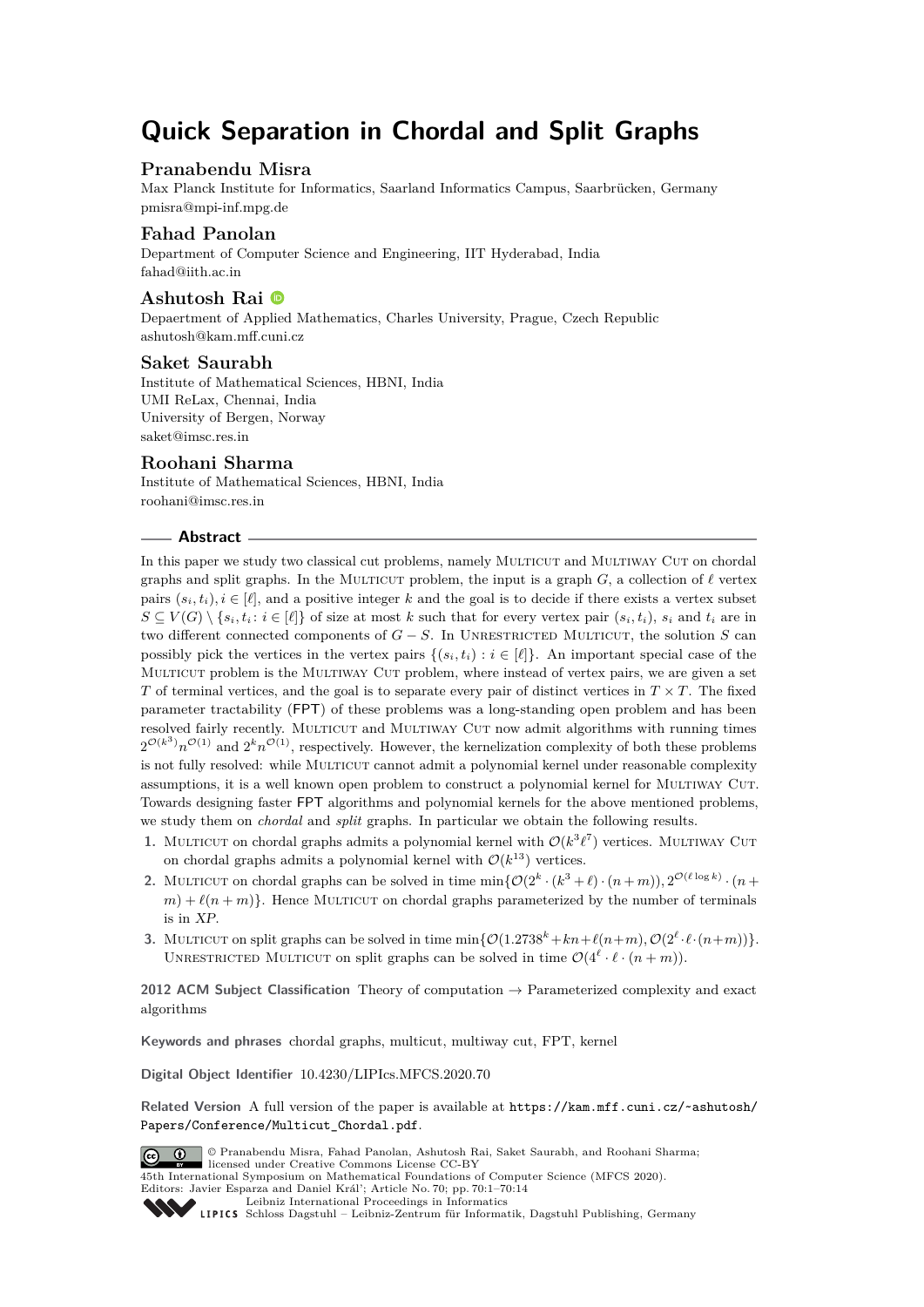# **Quick Separation in Chordal and Split Graphs**

## **Pranabendu Misra**

Max Planck Institute for Informatics, Saarland Informatics Campus, Saarbrücken, Germany [pmisra@mpi-inf.mpg.de](mailto:pmisra@mpi-inf.mpg.de)

## **Fahad Panolan**

Department of Computer Science and Engineering, IIT Hyderabad, India [fahad@iith.ac.in](mailto:fahad@iith.ac.in)

## **Ashutosh Rai**

Depaertment of Applied Mathematics, Charles University, Prague, Czech Republic [ashutosh@kam.mff.cuni.cz](mailto:ashutosh@kam.mff.cuni.cz)

## **Saket Saurabh**

Institute of Mathematical Sciences, HBNI, India UMI ReLax, Chennai, India University of Bergen, Norway [saket@imsc.res.in](mailto:saket@imsc.res.in)

### **Roohani Sharma**

Institute of Mathematical Sciences, HBNI, India [roohani@imsc.res.in](mailto:roohani@imsc.res.in)

## **Abstract**

In this paper we study two classical cut problems, namely MULTICUT and MULTIWAY CUT on chordal graphs and split graphs. In the MULTICUT problem, the input is a graph  $G$ , a collection of  $\ell$  vertex pairs  $(s_i, t_i)$ ,  $i \in [\ell]$ , and a positive integer k and the goal is to decide if there exists a vertex subset  $S \subseteq V(G) \setminus \{s_i, t_i : i \in [\ell]\}\$  of size at most k such that for every vertex pair  $(s_i, t_i)$ ,  $s_i$  and  $t_i$  are in two different connected components of  $G - S$ . In UNRESTRICTED MULTICUT, the solution *S* can possibly pick the vertices in the vertex pairs  $\{(s_i, t_i) : i \in [\ell]\}\$ . An important special case of the MULTICUT problem is the MULTIWAY CUT problem, where instead of vertex pairs, we are given a set *T* of terminal vertices, and the goal is to separate every pair of distinct vertices in  $T \times T$ . The fixed parameter tractability (FPT) of these problems was a long-standing open problem and has been resolved fairly recently. MULTICUT and MULTIWAY CUT now admit algorithms with running times  $2^{\mathcal{O}(k^3)} n^{\mathcal{O}(1)}$  and  $2^k n^{\mathcal{O}(1)}$ , respectively. However, the kernelization complexity of both these problems is not fully resolved: while MULTICUT cannot admit a polynomial kernel under reasonable complexity assumptions, it is a well known open problem to construct a polynomial kernel for MULTIWAY CUT. Towards designing faster FPT algorithms and polynomial kernels for the above mentioned problems, we study them on *chordal* and *split* graphs. In particular we obtain the following results.

- **1.** MULTICUT on chordal graphs admits a polynomial kernel with  $\mathcal{O}(k^3 \ell^7)$  vertices. MULTIWAY CUT on chordal graphs admits a polynomial kernel with  $\mathcal{O}(k^{13})$  vertices.
- 2. MULTICUT on chordal graphs can be solved in time  $\min\{O(2^k \cdot (k^3 + \ell) \cdot (n+m)), 2^{O(\ell \log k)} \cdot (n+m)\}$  $m$ ) +  $\ell(n + m)$ . Hence MULTICUT on chordal graphs parameterized by the number of terminals is in XP.
- **3.** MULTICUT on split graphs can be solved in time  $\min{\{\mathcal{O}(1.2738^k + kn + \ell(n+m), \mathcal{O}(2^{\ell} \cdot \ell \cdot (n+m))\}}$ . UNRESTRICTED MULTICUT on split graphs can be solved in time  $\mathcal{O}(4^{\ell} \cdot \ell \cdot (n+m))$ .

**2012 ACM Subject Classification** Theory of computation → Parameterized complexity and exact algorithms

**Keywords and phrases** chordal graphs, multicut, multiway cut, FPT, kernel

**Digital Object Identifier** [10.4230/LIPIcs.MFCS.2020.70](https://doi.org/10.4230/LIPIcs.MFCS.2020.70)

**Related Version** A full version of the paper is available at [https://kam.mff.cuni.cz/~ashutosh/](https://kam.mff.cuni.cz/~ashutosh/Papers/Conference/Multicut_Chordal.pdf) [Papers/Conference/Multicut\\_Chordal.pdf](https://kam.mff.cuni.cz/~ashutosh/Papers/Conference/Multicut_Chordal.pdf).



© Pranabendu Misra, Fahad Panolan, Ashutosh Rai, Saket Saurabh, and Roohani Sharma; licensed under Creative Commons License CC-BY 45th International Symposium on Mathematical Foundations of Computer Science (MFCS 2020).

Editors: Javier Esparza and Daniel Král'; Article No. 70; pp. 70:1–70[:14](#page-13-0) [Leibniz International Proceedings in Informatics](https://www.dagstuhl.de/lipics/)

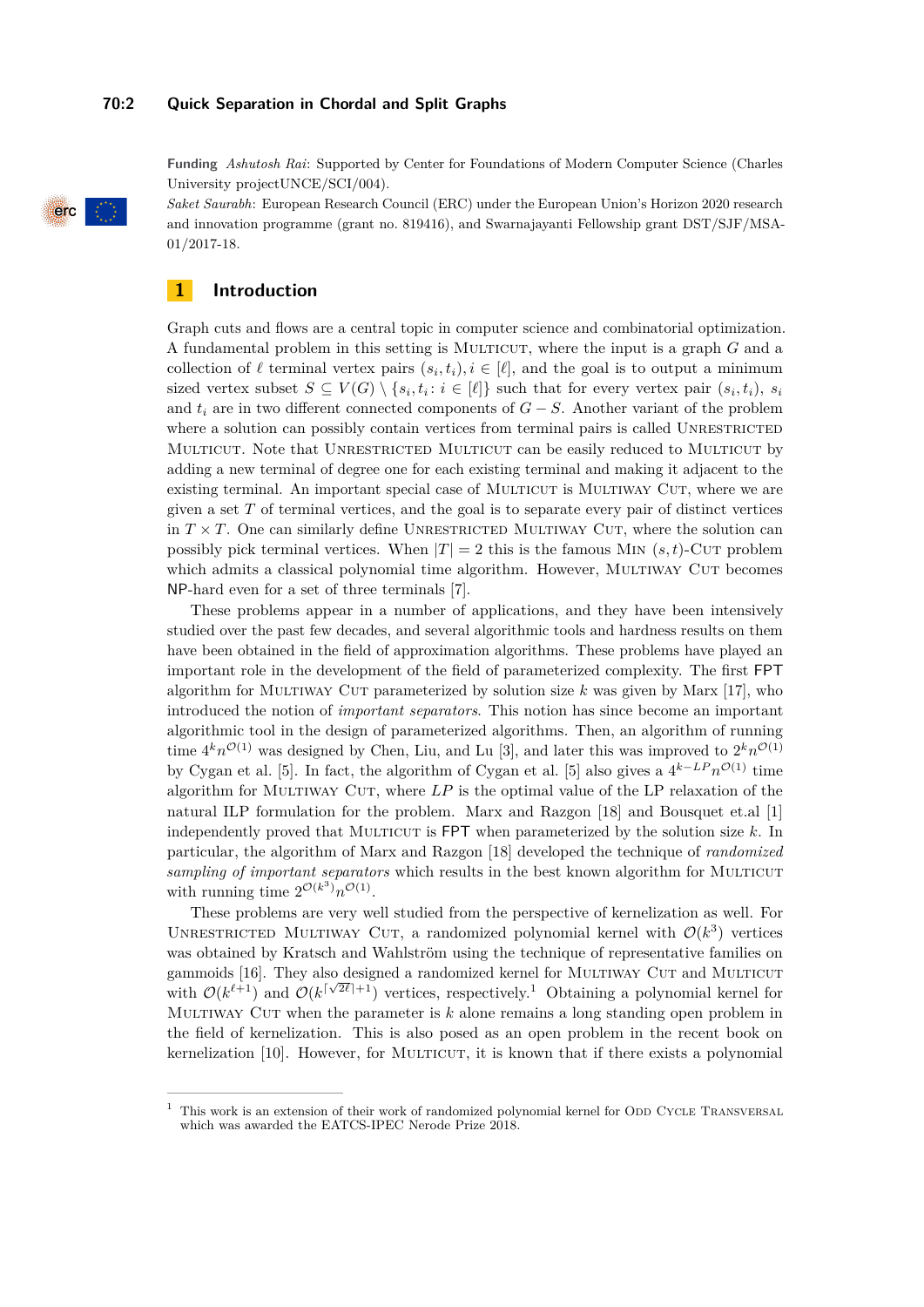#### **70:2 Quick Separation in Chordal and Split Graphs**

**Funding** *Ashutosh Rai*: Supported by Center for Foundations of Modern Computer Science (Charles University projectUNCE/SCI/004).

*Saket Saurabh*: European Research Council (ERC) under the European Union's Horizon 2020 research and innovation programme (grant no. 819416), and Swarnajayanti Fellowship grant DST/SJF/MSA-01/2017-18.

## <span id="page-1-1"></span>**1 Introduction**

Graph cuts and flows are a central topic in computer science and combinatorial optimization. A fundamental problem in this setting is Multicut, where the input is a graph *G* and a collection of  $\ell$  terminal vertex pairs  $(s_i, t_i), i \in [\ell]$ , and the goal is to output a minimum sized vertex subset  $S \subseteq V(G) \setminus \{s_i, t_i : i \in [\ell]\}$  such that for every vertex pair  $(s_i, t_i)$ ,  $s_i$ and  $t_i$  are in two different connected components of  $G - S$ . Another variant of the problem where a solution can possibly contain vertices from terminal pairs is called UNRESTRICTED Multicut. Note that Unrestricted Multicut can be easily reduced to Multicut by adding a new terminal of degree one for each existing terminal and making it adjacent to the existing terminal. An important special case of MULTICUT is MULTIWAY CUT, where we are given a set *T* of terminal vertices, and the goal is to separate every pair of distinct vertices in  $T \times T$ . One can similarly define UNRESTRICTED MULTIWAY CUT, where the solution can possibly pick terminal vertices. When  $|T| = 2$  this is the famous MIN  $(s, t)$ -Cur problem which admits a classical polynomial time algorithm. However, MULTIWAY CUT becomes NP-hard even for a set of three terminals [\[7\]](#page-13-1).

These problems appear in a number of applications, and they have been intensively studied over the past few decades, and several algorithmic tools and hardness results on them have been obtained in the field of approximation algorithms. These problems have played an important role in the development of the field of parameterized complexity. The first FPT algorithm for MULTIWAY CUT parameterized by solution size  $k$  was given by Marx [\[17\]](#page-13-2), who introduced the notion of *important separators*. This notion has since become an important algorithmic tool in the design of parameterized algorithms. Then, an algorithm of running time  $4^k n^{\mathcal{O}(1)}$  was designed by Chen, Liu, and Lu [\[3\]](#page-12-0), and later this was improved to  $2^k n^{\mathcal{O}(1)}$ by Cygan et al. [\[5\]](#page-12-1). In fact, the algorithm of Cygan et al. [5] also gives a  $4^{k-LP}n^{\mathcal{O}(1)}$  time algorithm for MULTIWAY CUT, where  $LP$  is the optimal value of the LP relaxation of the natural ILP formulation for the problem. Marx and Razgon [\[18\]](#page-13-3) and Bousquet et.al [\[1\]](#page-12-2) independently proved that MULTICUT is FPT when parameterized by the solution size k. In particular, the algorithm of Marx and Razgon [\[18\]](#page-13-3) developed the technique of *randomized* sampling of important separators which results in the best known algorithm for MULTICUT with running time  $2^{\mathcal{O}(k^3)} n^{\mathcal{O}(1)}$ .

These problems are very well studied from the perspective of kernelization as well. For UNRESTRICTED MULTIWAY CUT, a randomized polynomial kernel with  $\mathcal{O}(k^3)$  vertices was obtained by Kratsch and Wahlström using the technique of representative families on gammoids [\[16\]](#page-13-4). They also designed a randomized kernel for MULTIWAY CUT and MULTICUT with  $\mathcal{O}(k^{\ell+1})$  $\mathcal{O}(k^{\ell+1})$  $\mathcal{O}(k^{\ell+1})$  and  $\mathcal{O}(k^{\lceil \sqrt{2^{\ell}} \rceil+1})$  vertices, respectively.<sup>1</sup> Obtaining a polynomial kernel for Multiway Cut when the parameter is *k* alone remains a long standing open problem in the field of kernelization. This is also posed as an open problem in the recent book on kernelization [\[10\]](#page-13-5). However, for MULTICUT, it is known that if there exists a polynomial

erc

<span id="page-1-0"></span> $1$  This work is an extension of their work of randomized polynomial kernel for ODD CYCLE TRANSVERSAL which was awarded the EATCS-IPEC Nerode Prize 2018.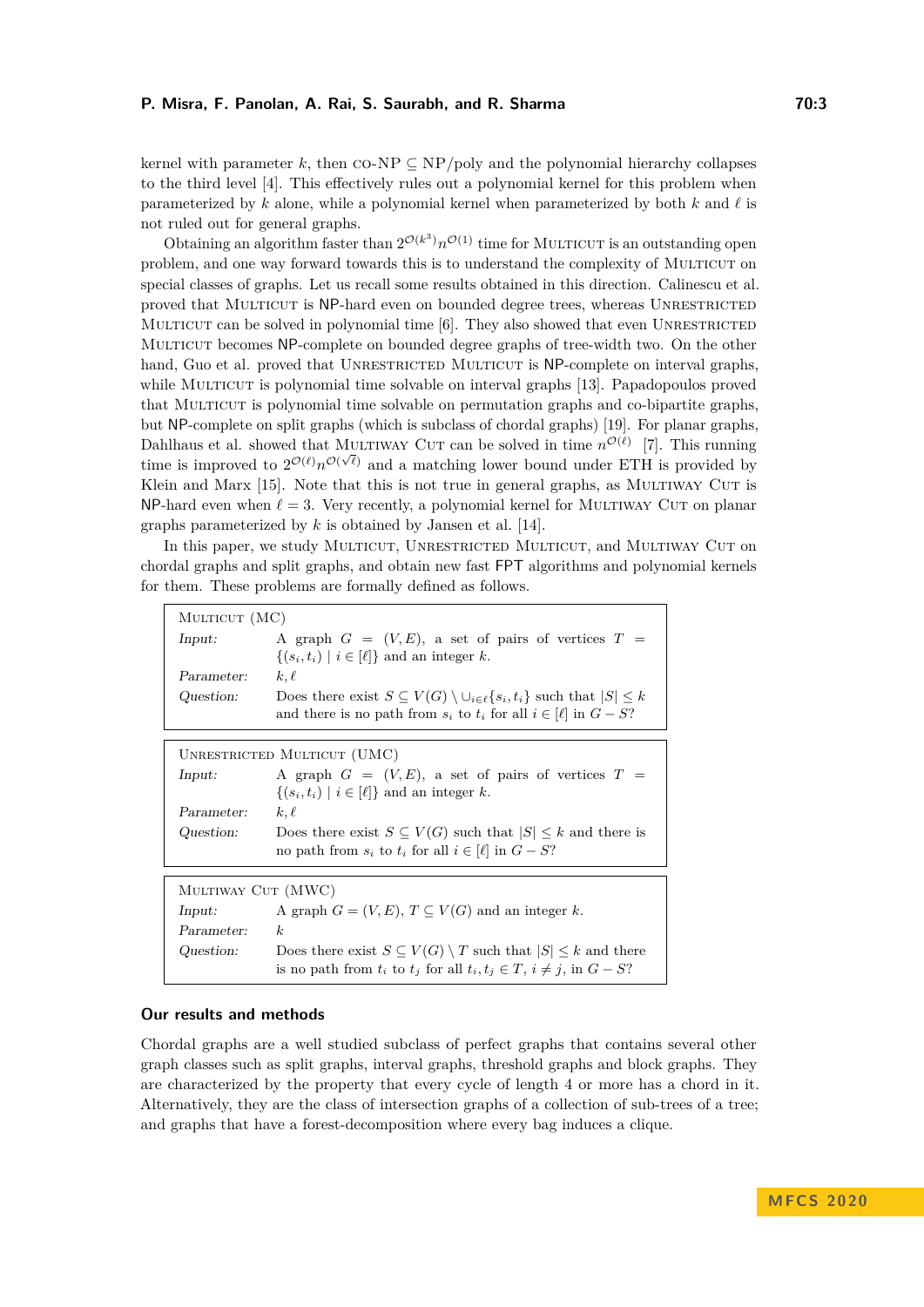kernel with parameter k, then  $\text{co-NP} \subseteq \text{NP}/\text{poly}$  and the polynomial hierarchy collapses to the third level [\[4\]](#page-12-3). This effectively rules out a polynomial kernel for this problem when parameterized by  $k$  alone, while a polynomial kernel when parameterized by both  $k$  and  $\ell$  is not ruled out for general graphs.

Obtaining an algorithm faster than  $2^{\mathcal{O}(k^3)} n^{\mathcal{O}(1)}$  time for MULTICUT is an outstanding open problem, and one way forward towards this is to understand the complexity of MULTICUT on special classes of graphs. Let us recall some results obtained in this direction. Calinescu et al. proved that MULTICUT is NP-hard even on bounded degree trees, whereas UNRESTRICTED MULTICUT can be solved in polynomial time  $[6]$ . They also showed that even UNRESTRICTED Multicut becomes NP-complete on bounded degree graphs of tree-width two. On the other hand, Guo et al. proved that UNRESTRICTED MULTICUT is NP-complete on interval graphs, while MULTICUT is polynomial time solvable on interval graphs [\[13\]](#page-13-6). Papadopoulos proved that MULTICUT is polynomial time solvable on permutation graphs and co-bipartite graphs. but NP-complete on split graphs (which is subclass of chordal graphs) [\[19\]](#page-13-7). For planar graphs, Dahlhaus et al. showed that MULTIWAY CUT can be solved in time  $n^{\mathcal{O}(\ell)}$  [\[7\]](#page-13-1). This running time is improved to  $2^{\mathcal{O}(\ell)} n^{\mathcal{O}(\sqrt{\ell})}$  and a matching lower bound under ETH is provided by Klein and Marx [\[15\]](#page-13-8). Note that this is not true in general graphs, as MULTIWAY CUT is NP-hard even when  $\ell = 3$ . Very recently, a polynomial kernel for MULTIWAY CUT on planar graphs parameterized by *k* is obtained by Jansen et al. [\[14\]](#page-13-9).

In this paper, we study MULTICUT, UNRESTRICTED MULTICUT, and MULTIWAY CUT on chordal graphs and split graphs, and obtain new fast FPT algorithms and polynomial kernels for them. These problems are formally defined as follows.

| MULTICUT (MC)      |                                                                                                                                                                                        |
|--------------------|----------------------------------------------------------------------------------------------------------------------------------------------------------------------------------------|
| Input:             | A graph $G = (V, E)$ , a set of pairs of vertices $T =$<br>$\{(s_i,t_i) \mid i \in [\ell]\}\$ and an integer k.                                                                        |
| Parameter:         | $k, \ell$                                                                                                                                                                              |
| Question:          | Does there exist $S \subseteq V(G) \setminus \bigcup_{i \in \ell} \{s_i, t_i\}$ such that $ S  \leq k$<br>and there is no path from $s_i$ to $t_i$ for all $i \in [\ell]$ in $G - S$ ? |
|                    |                                                                                                                                                                                        |
|                    | UNRESTRICTED MULTICUT (UMC)                                                                                                                                                            |
| Input:             | A graph $G = (V, E)$ , a set of pairs of vertices $T =$                                                                                                                                |
|                    | $\{(s_i, t_i) \mid i \in [\ell]\}\$ and an integer k.                                                                                                                                  |
| Parameter:         | $k, \ell$                                                                                                                                                                              |
| Question:          | Does there exist $S \subseteq V(G)$ such that $ S  \leq k$ and there is<br>no path from $s_i$ to $t_i$ for all $i \in [\ell]$ in $G - S$ ?                                             |
| MULTIWAY CUT (MWC) |                                                                                                                                                                                        |
|                    |                                                                                                                                                                                        |
| Input:             | A graph $G = (V, E), T \subseteq V(G)$ and an integer k.                                                                                                                               |
| Parameter:         | $\kappa$                                                                                                                                                                               |
| Question:          | Does there exist $S \subseteq V(G) \setminus T$ such that $ S  \leq k$ and there<br>is no path from $t_i$ to $t_j$ for all $t_i, t_j \in T$ , $i \neq j$ , in $G-S$ ?                  |

#### **Our results and methods**

Chordal graphs are a well studied subclass of perfect graphs that contains several other graph classes such as split graphs, interval graphs, threshold graphs and block graphs. They are characterized by the property that every cycle of length 4 or more has a chord in it. Alternatively, they are the class of intersection graphs of a collection of sub-trees of a tree; and graphs that have a forest-decomposition where every bag induces a clique.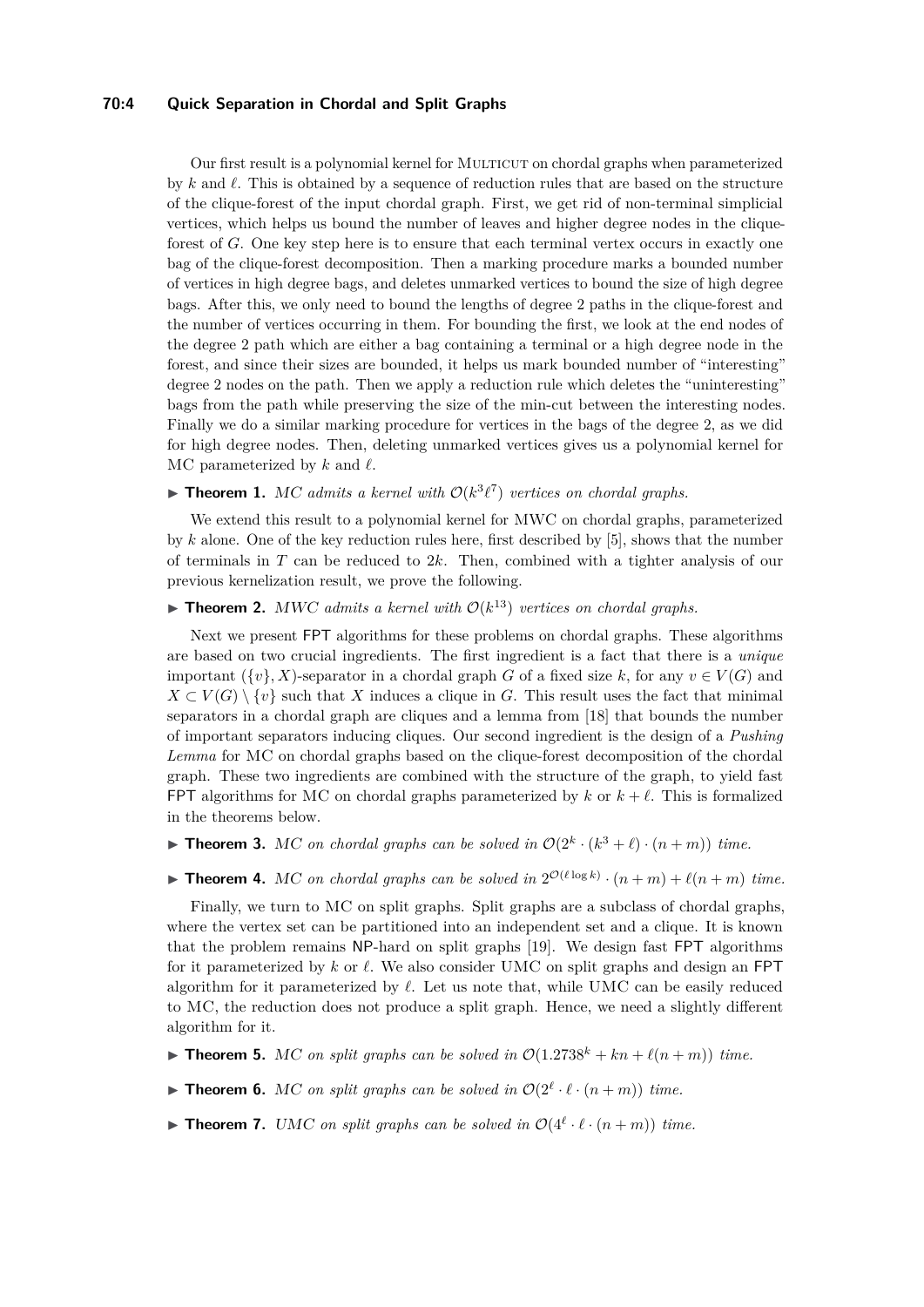## **70:4 Quick Separation in Chordal and Split Graphs**

Our first result is a polynomial kernel for Multicut on chordal graphs when parameterized by  $k$  and  $\ell$ . This is obtained by a sequence of reduction rules that are based on the structure of the clique-forest of the input chordal graph. First, we get rid of non-terminal simplicial vertices, which helps us bound the number of leaves and higher degree nodes in the cliqueforest of *G*. One key step here is to ensure that each terminal vertex occurs in exactly one bag of the clique-forest decomposition. Then a marking procedure marks a bounded number of vertices in high degree bags, and deletes unmarked vertices to bound the size of high degree bags. After this, we only need to bound the lengths of degree 2 paths in the clique-forest and the number of vertices occurring in them. For bounding the first, we look at the end nodes of the degree 2 path which are either a bag containing a terminal or a high degree node in the forest, and since their sizes are bounded, it helps us mark bounded number of "interesting" degree 2 nodes on the path. Then we apply a reduction rule which deletes the "uninteresting" bags from the path while preserving the size of the min-cut between the interesting nodes. Finally we do a similar marking procedure for vertices in the bags of the degree 2, as we did for high degree nodes. Then, deleting unmarked vertices gives us a polynomial kernel for MC parameterized by  $k$  and  $\ell$ .

## <span id="page-3-0"></span>**Theorem 1.** MC admits a kernel with  $O(k^3 \ell^7)$  vertices on chordal graphs.

We extend this result to a polynomial kernel for MWC on chordal graphs, parameterized by *k* alone. One of the key reduction rules here, first described by [\[5\]](#page-12-1), shows that the number of terminals in *T* can be reduced to 2*k*. Then, combined with a tighter analysis of our previous kernelization result, we prove the following.

## <span id="page-3-1"></span> $\blacktriangleright$  **Theorem 2.** MWC admits a kernel with  $O(k^{13})$  vertices on chordal graphs.

Next we present FPT algorithms for these problems on chordal graphs. These algorithms are based on two crucial ingredients. The first ingredient is a fact that there is a *unique* important  $({v}, X)$ -separator in a chordal graph *G* of a fixed size *k*, for any  $v \in V(G)$  and  $X \subset V(G) \setminus \{v\}$  such that *X* induces a clique in *G*. This result uses the fact that minimal separators in a chordal graph are cliques and a lemma from [\[18\]](#page-13-3) that bounds the number of important separators inducing cliques. Our second ingredient is the design of a *Pushing Lemma* for MC on chordal graphs based on the clique-forest decomposition of the chordal graph. These two ingredients are combined with the structure of the graph, to yield fast FPT algorithms for MC on chordal graphs parameterized by  $k$  or  $k + \ell$ . This is formalized in the theorems below.

<span id="page-3-2"></span>**Find 15 + Theorem 3.** MC on chordal graphs can be solved in  $\mathcal{O}(2^k \cdot (k^3 + \ell) \cdot (n+m))$  time.

<span id="page-3-3"></span>**Find 1.** MC on chordal graphs can be solved in  $2^{\mathcal{O}(\ell \log k)} \cdot (n+m) + \ell(n+m)$  time.

Finally, we turn to MC on split graphs. Split graphs are a subclass of chordal graphs, where the vertex set can be partitioned into an independent set and a clique. It is known that the problem remains NP-hard on split graphs [\[19\]](#page-13-7). We design fast FPT algorithms for it parameterized by  $k$  or  $\ell$ . We also consider UMC on split graphs and design an FPT algorithm for it parameterized by  $\ell$ . Let us note that, while UMC can be easily reduced to MC, the reduction does not produce a split graph. Hence, we need a slightly different algorithm for it.

- <span id="page-3-4"></span>**Find 5.** MC on split graphs can be solved in  $\mathcal{O}(1.2738^k + kn + \ell(n+m))$  time.
- <span id="page-3-5"></span>**Find Theorem 6.** MC on split graphs can be solved in  $O(2^{\ell} \cdot \ell \cdot (n+m))$  time.
- <span id="page-3-6"></span>**Find T.** UMC on split graphs can be solved in  $O(4^{\ell} \cdot \ell \cdot (n+m))$  time.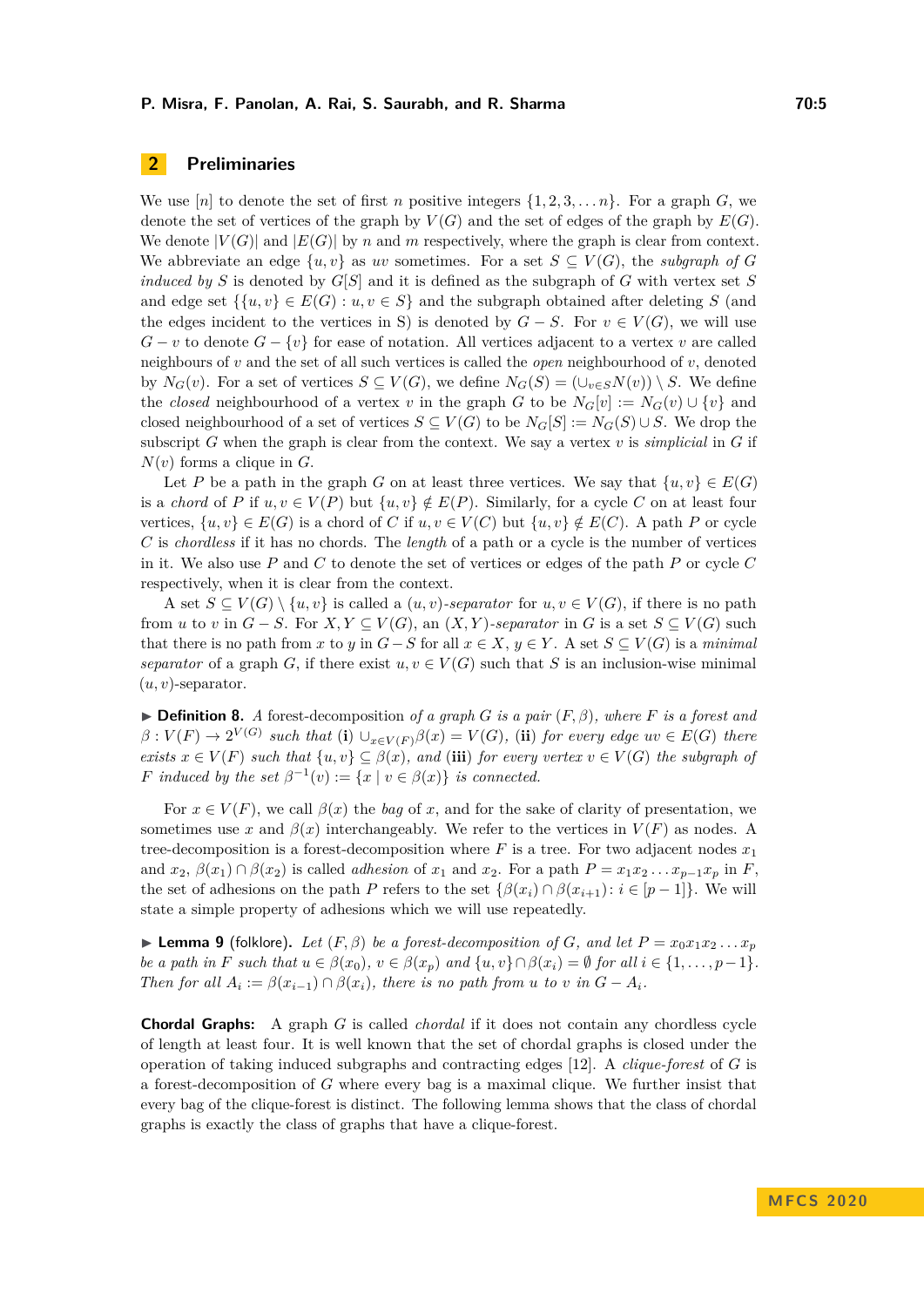## **2 Preliminaries**

We use  $[n]$  to denote the set of first *n* positive integers  $\{1, 2, 3, \ldots n\}$ . For a graph *G*, we denote the set of vertices of the graph by  $V(G)$  and the set of edges of the graph by  $E(G)$ . We denote  $|V(G)|$  and  $|E(G)|$  by *n* and *m* respectively, where the graph is clear from context. We abbreviate an edge  $\{u, v\}$  as *uv* sometimes. For a set  $S \subseteq V(G)$ , the *subgraph of G induced by S* is denoted by  $G[S]$  and it is defined as the subgraph of *G* with vertex set *S* and edge set  $\{\{u, v\} \in E(G) : u, v \in S\}$  and the subgraph obtained after deleting *S* (and the edges incident to the vertices in S) is denoted by  $G - S$ . For  $v \in V(G)$ , we will use *G* − *v* to denote *G* − {*v*} for ease of notation. All vertices adjacent to a vertex *v* are called neighbours of *v* and the set of all such vertices is called the *open* neighbourhood of *v*, denoted by  $N_G(v)$ . For a set of vertices  $S \subseteq V(G)$ , we define  $N_G(S) = (\cup_{v \in S} N(v)) \setminus S$ . We define the *closed* neighbourhood of a vertex *v* in the graph *G* to be  $N_G[v] := N_G(v) \cup \{v\}$  and closed neighbourhood of a set of vertices  $S \subseteq V(G)$  to be  $N_G[S] := N_G(S) \cup S$ . We drop the subscript *G* when the graph is clear from the context. We say a vertex  $v$  is *simplicial* in  $G$  if  $N(v)$  forms a clique in  $G$ .

Let *P* be a path in the graph *G* on at least three vertices. We say that  $\{u, v\} \in E(G)$ is a *chord* of *P* if  $u, v \in V(P)$  but  $\{u, v\} \notin E(P)$ . Similarly, for a cycle *C* on at least four vertices,  $\{u, v\} \in E(G)$  is a chord of *C* if  $u, v \in V(C)$  but  $\{u, v\} \notin E(C)$ . A path *P* or cycle *C* is *chordless* if it has no chords. The *length* of a path or a cycle is the number of vertices in it. We also use *P* and *C* to denote the set of vertices or edges of the path *P* or cycle *C* respectively, when it is clear from the context.

A set  $S \subseteq V(G) \setminus \{u, v\}$  is called a  $(u, v)$ *-separator* for  $u, v \in V(G)$ , if there is no path from *u* to *v* in  $G - S$ . For  $X, Y \subseteq V(G)$ , an  $(X, Y)$ -separator in G is a set  $S \subseteq V(G)$  such that there is no path from *x* to *y* in  $G-S$  for all  $x \in X$ ,  $y \in Y$ . A set  $S \subseteq V(G)$  is a *minimal separator* of a graph *G*, if there exist  $u, v \in V(G)$  such that *S* is an inclusion-wise minimal (*u, v*)-separator.

<span id="page-4-0"></span> $\triangleright$  **Definition 8.** *A* forest-decomposition of a graph *G* is a pair  $(F, \beta)$ *, where F* is a forest and  $\beta: V(F) \to 2^{V(G)}$  such that (i)  $\cup_{x \in V(F)} \beta(x) = V(G)$ , (ii) for every edge  $uv \in E(G)$  there *exists*  $x \in V(F)$  *such that*  $\{u, v\} \subset \beta(x)$ *, and* (iii) *for every vertex*  $v \in V(G)$  *the subgraph of F* induced by the set  $\beta^{-1}(v) := \{x \mid v \in \beta(x)\}$  is connected.

For  $x \in V(F)$ , we call  $\beta(x)$  the *bag* of *x*, and for the sake of clarity of presentation, we sometimes use *x* and  $\beta(x)$  interchangeably. We refer to the vertices in  $V(F)$  as nodes. A tree-decomposition is a forest-decomposition where  $F$  is a tree. For two adjacent nodes  $x_1$ and  $x_2$ ,  $\beta(x_1) \cap \beta(x_2)$  is called *adhesion* of  $x_1$  and  $x_2$ . For a path  $P = x_1 x_2 \dots x_{p-1} x_p$  in  $F$ , the set of adhesions on the path *P* refers to the set  $\{\beta(x_i) \cap \beta(x_{i+1}) : i \in [p-1]\}.$  We will state a simple property of adhesions which we will use repeatedly.

**Example 1 Lemma 9** (folklore). Let  $(F, \beta)$  be a forest-decomposition of *G*, and let  $P = x_0x_1x_2...x_p$ be a path in F such that  $u \in \beta(x_0)$ ,  $v \in \beta(x_p)$  and  $\{u, v\} \cap \beta(x_i) = \emptyset$  for all  $i \in \{1, ..., p-1\}$ . *Then for all*  $A_i := \beta(x_{i-1}) \cap \beta(x_i)$ *, there is no path from u to v in*  $G - A_i$ *.* 

<span id="page-4-1"></span>**Chordal Graphs:** A graph *G* is called *chordal* if it does not contain any chordless cycle of length at least four. It is well known that the set of chordal graphs is closed under the operation of taking induced subgraphs and contracting edges [\[12\]](#page-13-10). A *clique-forest* of *G* is a forest-decomposition of *G* where every bag is a maximal clique. We further insist that every bag of the clique-forest is distinct. The following lemma shows that the class of chordal graphs is exactly the class of graphs that have a clique-forest.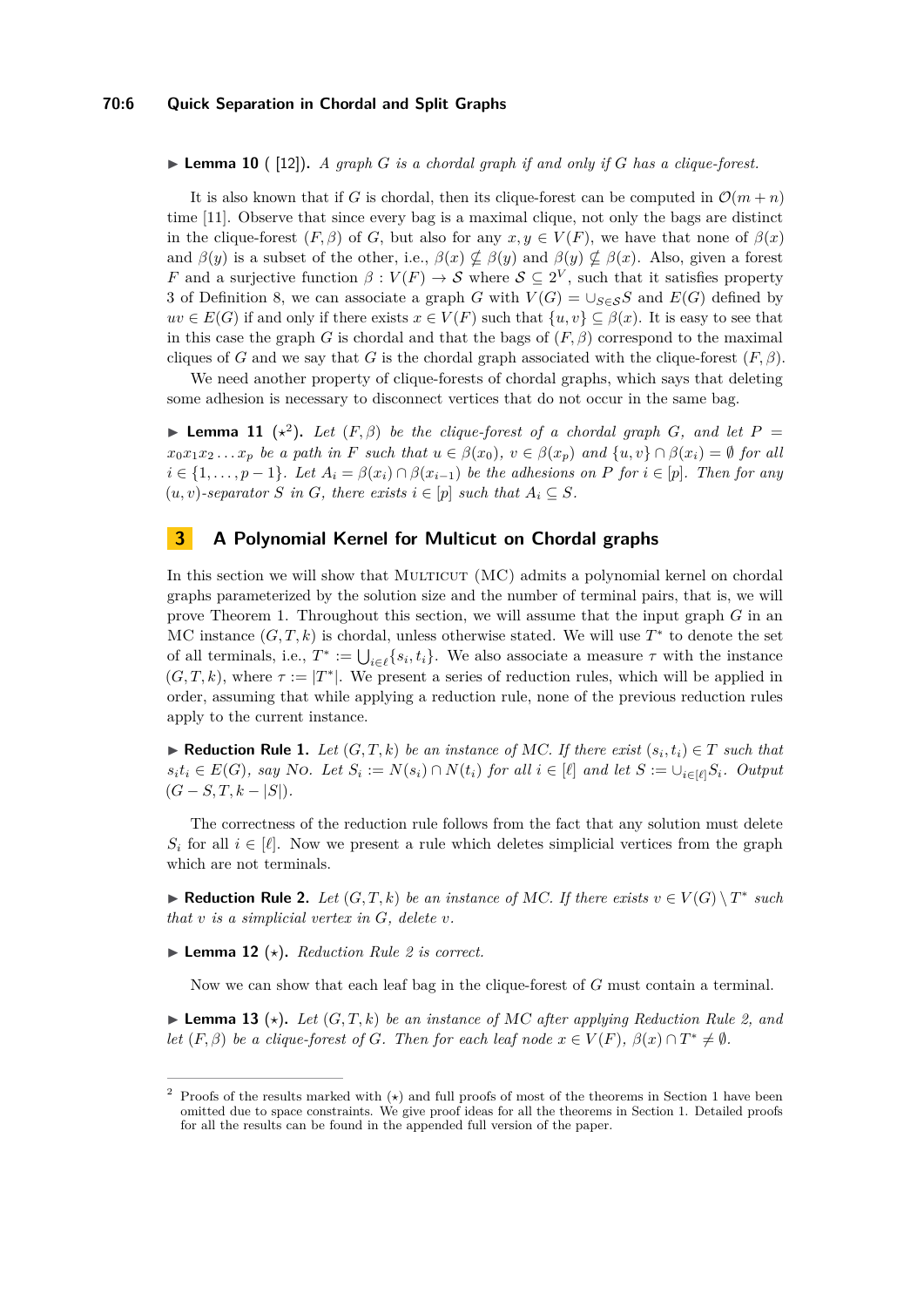#### **70:6 Quick Separation in Chordal and Split Graphs**

 $\blacktriangleright$  **Lemma 10** ( [\[12\]](#page-13-10)). A graph *G* is a chordal graph if and only if *G* has a clique-forest.

It is also known that if *G* is chordal, then its clique-forest can be computed in  $\mathcal{O}(m + n)$ time [\[11\]](#page-13-11). Observe that since every bag is a maximal clique, not only the bags are distinct in the clique-forest  $(F, \beta)$  of *G*, but also for any  $x, y \in V(F)$ , we have that none of  $\beta(x)$ and  $\beta(y)$  is a subset of the other, i.e.,  $\beta(x) \nsubseteq \beta(y)$  and  $\beta(y) \nsubseteq \beta(x)$ . Also, given a forest *F* and a surjective function  $\beta: V(F) \to S$  where  $S \subseteq 2^V$ , such that it satisfies property 3 of Definition [8,](#page-4-0) we can associate a graph *G* with  $V(G) = \bigcup_{S \in \mathcal{S}} S$  and  $E(G)$  defined by  $uv \in E(G)$  if and only if there exists  $x \in V(F)$  such that  $\{u, v\} \subset \beta(x)$ . It is easy to see that in this case the graph *G* is chordal and that the bags of  $(F, \beta)$  correspond to the maximal cliques of *G* and we say that *G* is the chordal graph associated with the clique-forest  $(F, \beta)$ .

We need another property of clique-forests of chordal graphs, which says that deleting some adhesion is necessary to disconnect vertices that do not occur in the same bag.

<span id="page-5-3"></span>**Example 11** ( $\star^2$  $\star^2$ ). Let  $(F, \beta)$  be the clique-forest of a chordal graph *G*, and let  $P =$  $x_0x_1x_2...x_n$  be a path in F such that  $u \in \beta(x_0), v \in \beta(x_n)$  and  $\{u, v\} \cap \beta(x_i) = \emptyset$  for all *i* ∈ {1,..., *p* − 1}*.* Let  $A_i = \beta(x_i) \cap \beta(x_{i-1})$  be the adhesions on *P* for *i* ∈ [*p*]*.* Then for any  $(u, v)$ -separator *S* in *G*, there exists  $i \in [p]$  such that  $A_i \subseteq S$ .

## **3 A Polynomial Kernel for Multicut on Chordal graphs**

In this section we will show that MULTICUT  $(MC)$  admits a polynomial kernel on chordal graphs parameterized by the solution size and the number of terminal pairs, that is, we will prove Theorem [1.](#page-3-0) Throughout this section, we will assume that the input graph *G* in an MC instance  $(G, T, k)$  is chordal, unless otherwise stated. We will use  $T^*$  to denote the set of all terminals, i.e.,  $T^* := \bigcup_{i \in \ell} \{s_i, t_i\}$ . We also associate a measure  $\tau$  with the instance  $(G, T, k)$ , where  $\tau := |T^*|$ . We present a series of reduction rules, which will be applied in order, assuming that while applying a reduction rule, none of the previous reduction rules apply to the current instance.

<span id="page-5-2"></span>▶ **Reduction Rule 1.** *Let*  $(G, T, k)$  *be an instance of MC. If there exist*  $(s_i, t_i) \in T$  *such that*  $s_it_i \in E(G)$ , say NO. Let  $S_i := N(s_i) \cap N(t_i)$  for all  $i \in [\ell]$  and let  $S := \bigcup_{i \in [\ell]} S_i$ . Output  $(G - S, T, k - |S|).$ 

The correctness of the reduction rule follows from the fact that any solution must delete  $S_i$  for all  $i \in [\ell]$ . Now we present a rule which deletes simplicial vertices from the graph which are not terminals.

<span id="page-5-1"></span>▶ **Reduction Rule 2.** *Let*  $(G, T, k)$  *be an instance of MC. If there exists*  $v \in V(G) \setminus T^*$  *such that v is a simplicial vertex in G, delete v.*

 $\blacktriangleright$  **Lemma 12** ( $\star$ ). *Reduction Rule [2](#page-5-1) is correct.* 

Now we can show that each leaf bag in the clique-forest of *G* must contain a terminal.

**Ightharrow 13** ( $\star$ ). Let  $(G, T, k)$  be an instance of MC after applying Reduction Rule [2,](#page-5-1) and *let*  $(F, \beta)$  *be a clique-forest of G. Then for each leaf node*  $x \in V(F)$ ,  $\beta(x) \cap T^* \neq \emptyset$ .

<span id="page-5-0"></span>Proofs of the results marked with  $(\star)$  and full proofs of most of the theorems in Section [1](#page-1-1) have been omitted due to space constraints. We give proof ideas for all the theorems in Section [1.](#page-1-1) Detailed proofs for all the results can be found in the appended full version of the paper.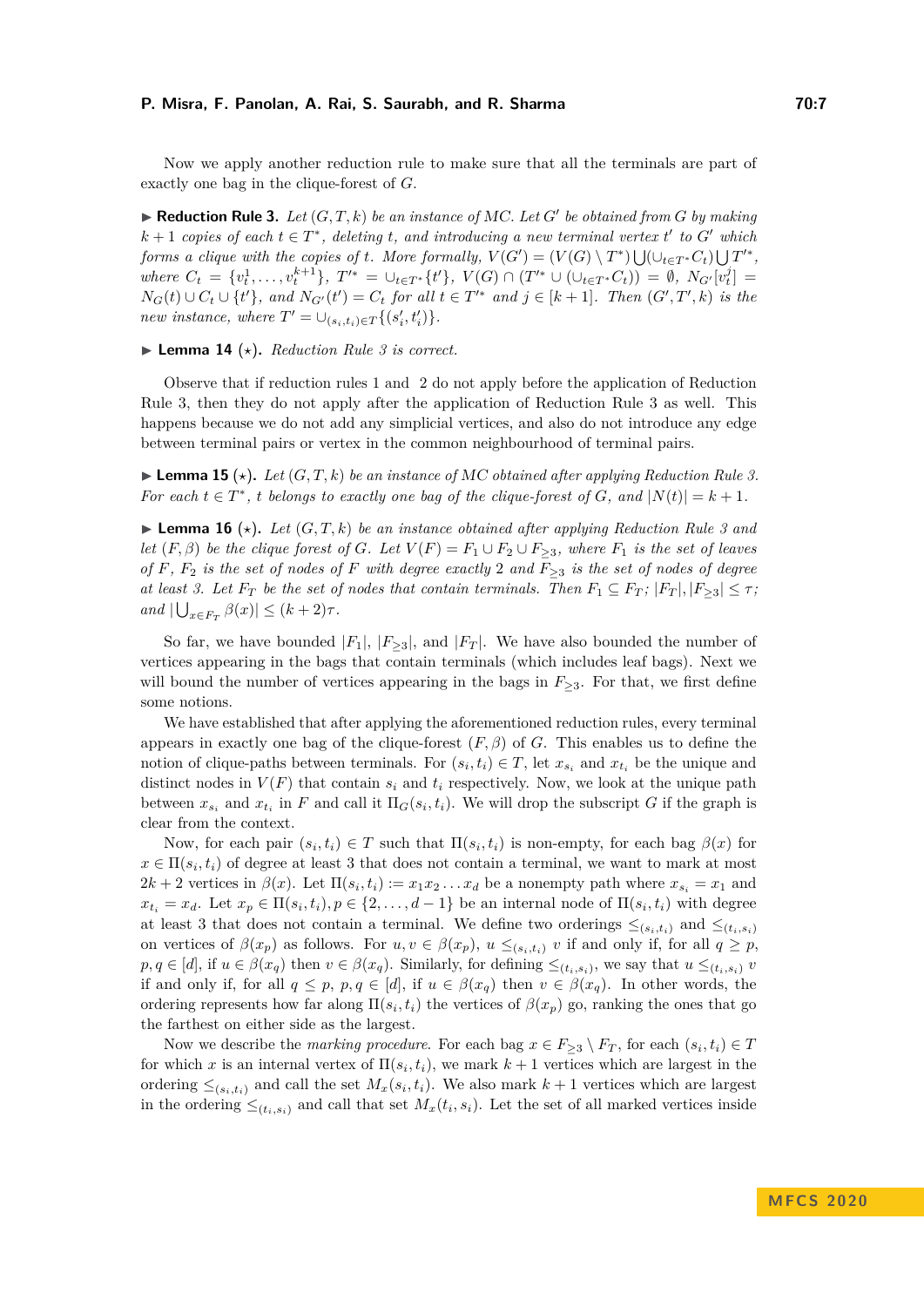#### **P. Misra, F. Panolan, A. Rai, S. Saurabh, and R. Sharma 70:7**

Now we apply another reduction rule to make sure that all the terminals are part of exactly one bag in the clique-forest of *G*.

<span id="page-6-0"></span> $\blacktriangleright$  **Reduction Rule 3.** Let  $(G, T, k)$  be an instance of MC. Let G' be obtained from G by making  $k + 1$  *copies of each*  $t \in T^*$ , *deleting t*, *and introducing a new terminal vertex*  $t'$  *to*  $G'$  *which forms a clique with the copies of <i>t.* More formally,  $V(G') = (V(G) \setminus T^*) \bigcup (\cup_{t \in T^*} C_t) \bigcup T'^*$ , where  $C_t = \{v_t^1, \ldots, v_t^{k+1}\}, T'^* = \bigcup_{t \in T^*}\{t'\}, V(G) \cap (T'^* \cup (\bigcup_{t \in T^*} C_t)) = \emptyset, N_{G'}[v_t^j] =$  $N_G(t) \cup C_t \cup \{t'\}$ , and  $N_{G'}(t') = C_t$  for all  $t \in T'^*$  and  $j \in [k+1]$ . Then  $(G',T',k)$  is the *new instance, where*  $T' = \bigcup_{(s_i, t_i) \in T} \{ (s'_i, t'_i) \}.$ 

#### $\blacktriangleright$  **Lemma 14** ( $\star$ ). *Reduction Rule [3](#page-6-0) is correct.*

Observe that if reduction rules [1](#page-5-2) and [2](#page-5-1) do not apply before the application of Reduction Rule [3,](#page-6-0) then they do not apply after the application of Reduction Rule [3](#page-6-0) as well. This happens because we do not add any simplicial vertices, and also do not introduce any edge between terminal pairs or vertex in the common neighbourhood of terminal pairs.

<span id="page-6-2"></span>**Example 15** ( $\star$ ). Let  $(G, T, k)$  be an instance of MC obtained after applying Reduction Rule [3.](#page-6-0) *For each*  $t \in T^*$ *, t belongs to exactly one bag of the clique-forest of G, and*  $|N(t)| = k + 1$ *.* 

<span id="page-6-1"></span>**I Lemma 16** ( $\star$ ). Let  $(G, T, k)$  be an instance obtained after applying Reduction Rule [3](#page-6-0) and *let*  $(F, \beta)$  *be the clique forest of G. Let*  $V(F) = F_1 \cup F_2 \cup F_{\geq 3}$ *, where*  $F_1$  *is the set of leaves of*  $F$ *,*  $F_2$  *is the set of nodes of*  $F$  *with degree exactly* 2 *and*  $F_{\geq 3}$  *is the set of nodes of degree at least 3. Let*  $F_T$  *be the set of nodes that contain terminals. Then*  $F_1 \subseteq F_T$ ;  $|F_T|, |F_{>3}| \leq \tau$ ;  $| \bigcup_{x \in F_T} \beta(x) | \leq (k+2)\tau.$ 

So far, we have bounded  $|F_1|, |F_2|,$  and  $|F_T|$ . We have also bounded the number of vertices appearing in the bags that contain terminals (which includes leaf bags). Next we will bound the number of vertices appearing in the bags in  $F_{\geq 3}$ . For that, we first define some notions.

We have established that after applying the aforementioned reduction rules, every terminal appears in exactly one bag of the clique-forest (*F, β*) of *G*. This enables us to define the notion of clique-paths between terminals. For  $(s_i, t_i) \in T$ , let  $x_{s_i}$  and  $x_{t_i}$  be the unique and distinct nodes in  $V(F)$  that contain  $s_i$  and  $t_i$  respectively. Now, we look at the unique path between  $x_{s_i}$  and  $x_{t_i}$  in F and call it  $\Pi_G(s_i, t_i)$ . We will drop the subscript G if the graph is clear from the context.

Now, for each pair  $(s_i, t_i) \in T$  such that  $\Pi(s_i, t_i)$  is non-empty, for each bag  $\beta(x)$  for  $x \in \Pi(s_i, t_i)$  of degree at least 3 that does not contain a terminal, we want to mark at most  $2k + 2$  vertices in  $\beta(x)$ . Let  $\Pi(s_i, t_i) := x_1 x_2 \dots x_d$  be a nonempty path where  $x_{s_i} = x_1$  and  $x_{t_i} = x_d$ . Let  $x_p \in \Pi(s_i, t_i)$ ,  $p \in \{2, \ldots, d-1\}$  be an internal node of  $\Pi(s_i, t_i)$  with degree at least 3 that does not contain a terminal. We define two orderings  $\leq_{(s_i,t_i)}$  and  $\leq_{(t_i,s_i)}$ on vertices of  $\beta(x_p)$  as follows. For  $u, v \in \beta(x_p)$ ,  $u \leq_{(s_i,t_i)} v$  if and only if, for all  $q \geq p$ ,  $p, q \in [d]$ , if  $u \in \beta(x_q)$  then  $v \in \beta(x_q)$ . Similarly, for defining  $\leq_{(t_i, s_i)}$ , we say that  $u \leq_{(t_i, s_i)} v$ if and only if, for all  $q \leq p$ ,  $p, q \in [d]$ , if  $u \in \beta(x_q)$  then  $v \in \beta(x_q)$ . In other words, the ordering represents how far along  $\Pi(s_i, t_i)$  the vertices of  $\beta(x_p)$  go, ranking the ones that go the farthest on either side as the largest.

Now we describe the *marking procedure*. For each bag  $x \in F_{\geq 3} \setminus F_T$ , for each  $(s_i, t_i) \in T$ for which *x* is an internal vertex of  $\Pi(s_i, t_i)$ , we mark  $k + 1$  vertices which are largest in the ordering  $\leq_{(s_i,t_i)}$  and call the set  $M_x(s_i,t_i)$ . We also mark  $k+1$  vertices which are largest in the ordering  $\leq_{(t_i,s_i)}$  and call that set  $M_x(t_i,s_i)$ . Let the set of all marked vertices inside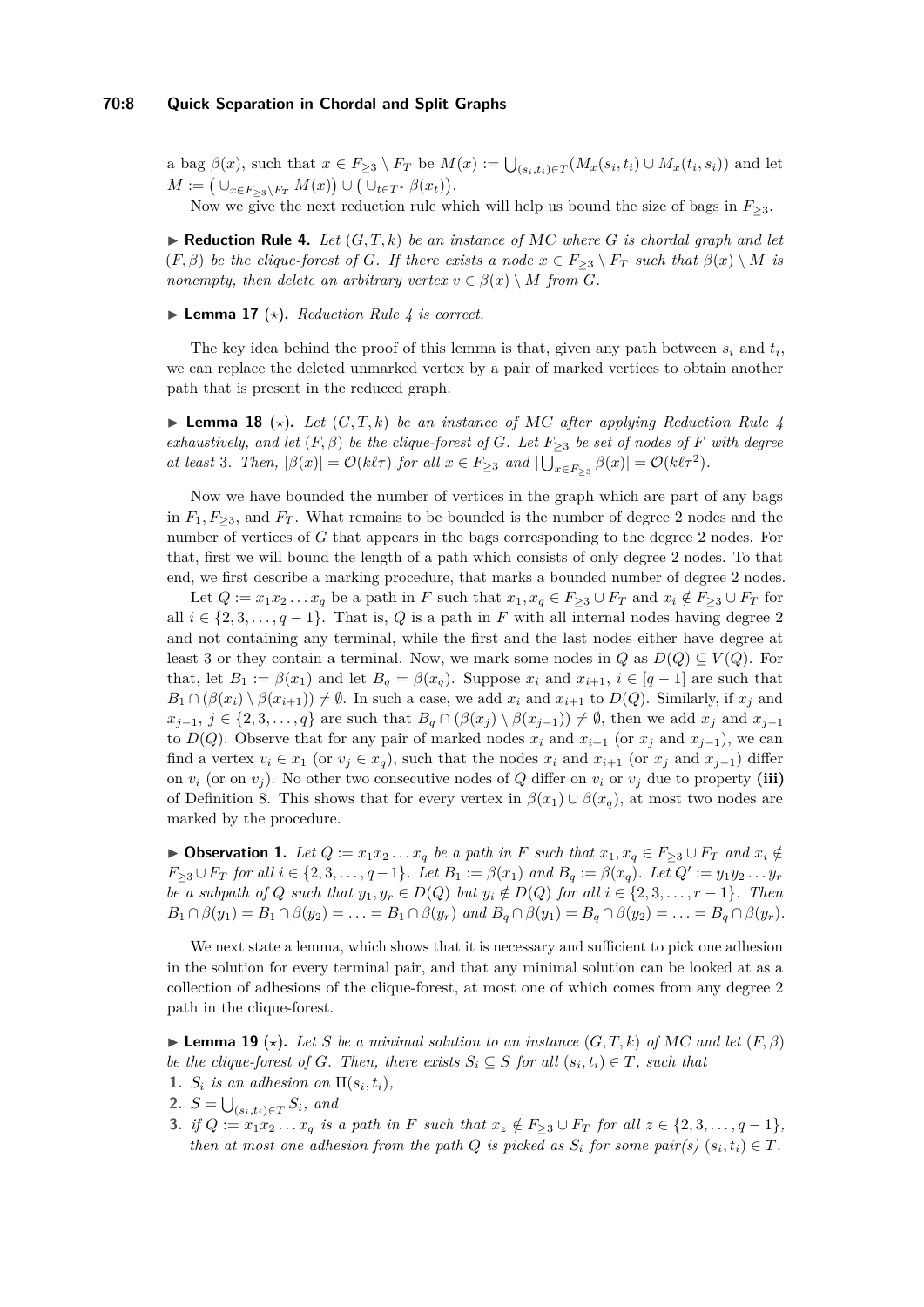#### **70:8 Quick Separation in Chordal and Split Graphs**

a bag  $\beta(x)$ , such that  $x \in F_{\geq 3} \setminus F_T$  be  $M(x) := \bigcup_{(s_i,t_i) \in T} (M_x(s_i,t_i) \cup M_x(t_i,s_i))$  and let  $M := (\cup_{x \in F_{\geq 3} \setminus F_T} M(x)) \cup (\cup_{t \in T^*} \beta(x_t)).$ 

Now we give the next reduction rule which will help us bound the size of bags in  $F_{\geq 3}$ .

<span id="page-7-0"></span> $\blacktriangleright$  **Reduction Rule 4.** Let  $(G, T, k)$  be an instance of MC where G is chordal graph and let  $(F, \beta)$  be the clique-forest of *G*. If there exists a node  $x \in F_{\geq 3} \backslash F_T$  such that  $\beta(x) \backslash M$  is *nonempty, then delete an arbitrary vertex*  $v \in \beta(x) \setminus M$  *from G*.

### <span id="page-7-2"></span> $\blacktriangleright$  **Lemma 17** ( $\star$ ). *Reduction Rule [4](#page-7-0) is correct.*

The key idea behind the proof of this lemma is that, given any path between *s<sup>i</sup>* and *t<sup>i</sup>* , we can replace the deleted unmarked vertex by a pair of marked vertices to obtain another path that is present in the reduced graph.

<span id="page-7-3"></span> $\blacktriangleright$  **Lemma 18** ( $\star$ ), Let  $(G, T, k)$  be an instance of MC after applying Reduction Rule [4](#page-7-0) *exhaustively, and let*  $(F, \beta)$  *be the clique-forest of G. Let*  $F_{\geq 3}$  *be set of nodes of*  $F$  *with degree at least* 3*. Then,*  $|\beta(x)| = O(k\ell\tau)$  *for all*  $x \in F_{\geq 3}$  *and*  $|\bigcup_{x \in F_{\geq 3}} \beta(x)| = O(k\ell\tau^2)$ *.* 

Now we have bounded the number of vertices in the graph which are part of any bags in  $F_1, F_{\geq 3}$ , and  $F_T$ . What remains to be bounded is the number of degree 2 nodes and the number of vertices of *G* that appears in the bags corresponding to the degree 2 nodes. For that, first we will bound the length of a path which consists of only degree 2 nodes. To that end, we first describe a marking procedure, that marks a bounded number of degree 2 nodes.

Let  $Q := x_1 x_2 \dots x_q$  be a path in *F* such that  $x_1, x_q \in F_{\geq 3} \cup F_T$  and  $x_i \notin F_{\geq 3} \cup F_T$  for all  $i \in \{2, 3, \ldots, q - 1\}$ . That is, *Q* is a path in *F* with all internal nodes having degree 2 and not containing any terminal, while the first and the last nodes either have degree at least 3 or they contain a terminal. Now, we mark some nodes in  $Q$  as  $D(Q) \subseteq V(Q)$ . For that, let  $B_1 := \beta(x_1)$  and let  $B_q = \beta(x_q)$ . Suppose  $x_i$  and  $x_{i+1}$ ,  $i \in [q-1]$  are such that  $B_1 \cap (\beta(x_i) \setminus \beta(x_{i+1})) \neq \emptyset$ . In such a case, we add  $x_i$  and  $x_{i+1}$  to  $D(Q)$ . Similarly, if  $x_j$  and  $x_{j-1}, j \in \{2, 3, \ldots, q\}$  are such that  $B_q \cap (\beta(x_j) \setminus \beta(x_{j-1})) \neq \emptyset$ , then we add  $x_j$  and  $x_{j-1}$ to  $D(Q)$ . Observe that for any pair of marked nodes  $x_i$  and  $x_{i+1}$  (or  $x_j$  and  $x_{i-1}$ ), we can find a vertex  $v_i \in x_1$  (or  $v_j \in x_q$ ), such that the nodes  $x_i$  and  $x_{i+1}$  (or  $x_j$  and  $x_{j-1}$ ) differ on  $v_i$  (or on  $v_j$ ). No other two consecutive nodes of *Q* differ on  $v_i$  or  $v_j$  due to property (iii) of Definition [8.](#page-4-0) This shows that for every vertex in  $\beta(x_1) \cup \beta(x_q)$ , at most two nodes are marked by the procedure.

**• Observation 1.** Let  $Q := x_1 x_2 \dots x_q$  be a path in F such that  $x_1, x_q \in F_{\geq 3} \cup F_T$  and  $x_i \notin F_{\geq 3}$  $F_{\geq 3} \cup F_T$  for all  $i \in \{2, 3, \ldots, q-1\}$ . Let  $B_1 := \beta(x_1)$  and  $B_q := \beta(x_q)$ . Let  $Q' := y_1 y_2 \ldots y_r$ be a subpath of Q such that  $y_1, y_r \in D(Q)$  but  $y_i \notin D(Q)$  for all  $i \in \{2, 3, ..., r-1\}$ . Then  $B_1 \cap \beta(y_1) = B_1 \cap \beta(y_2) = \ldots = B_1 \cap \beta(y_r)$  and  $B_q \cap \beta(y_1) = B_q \cap \beta(y_2) = \ldots = B_q \cap \beta(y_r)$ .

We next state a lemma, which shows that it is necessary and sufficient to pick one adhesion in the solution for every terminal pair, and that any minimal solution can be looked at as a collection of adhesions of the clique-forest, at most one of which comes from any degree 2 path in the clique-forest.

<span id="page-7-1"></span>**Lemma 19** ( $\star$ ). Let *S* be a minimal solution to an instance  $(G, T, k)$  of MC and let  $(F, \beta)$ *be the clique-forest of G. Then, there exists*  $S_i \subseteq S$  *for all*  $(s_i, t_i) \in T$ *, such that* 

- **1.**  $S_i$  is an adhesion on  $\Pi(s_i, t_i)$ ,
- **2.**  $S = \bigcup_{(s_i,t_i) \in T} S_i$ , and
- 3. if  $Q := x_1 x_2 \dots x_q$  is a path in F such that  $x_z \notin F_{\geq 3} \cup F_T$  for all  $z \in \{2, 3, \dots, q-1\}$ , *then at most one adhesion from the path*  $Q$  *is picked as*  $S_i$  *for some pair(s)*  $(s_i, t_i) \in T$ *.*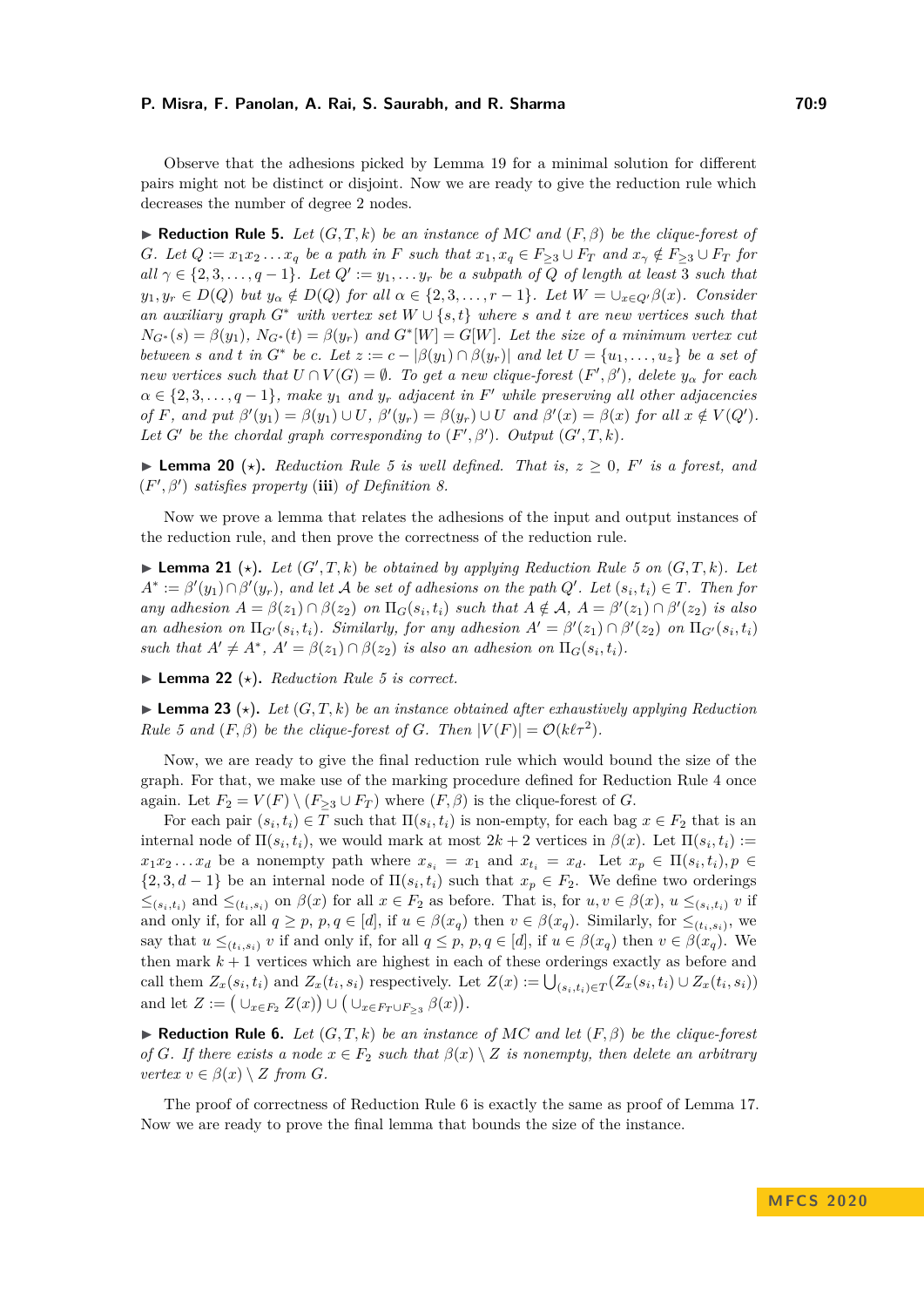#### **P. Misra, F. Panolan, A. Rai, S. Saurabh, and R. Sharma 70:9**

Observe that the adhesions picked by Lemma [19](#page-7-1) for a minimal solution for different pairs might not be distinct or disjoint. Now we are ready to give the reduction rule which decreases the number of degree 2 nodes.

<span id="page-8-0"></span> $\blacktriangleright$  **Reduction Rule 5.** Let  $(G, T, k)$  be an instance of MC and  $(F, \beta)$  be the clique-forest of G. Let  $Q := x_1 x_2 \ldots x_q$  be a path in F such that  $x_1, x_q \in F_{\geq 3} \cup F_T$  and  $x_q \notin F_{\geq 3} \cup F_T$  for  $all \gamma \in \{2, 3, \ldots, q - 1\}$ *. Let*  $Q' := y_1, \ldots, y_r$  *be a subpath of*  $Q$  *of length at least* 3 *such that*  $y_1, y_r \in D(Q)$  but  $y_\alpha \notin D(Q)$  for all  $\alpha \in \{2, 3, ..., r-1\}$ . Let  $W = \bigcup_{x \in Q'} \beta(x)$ . Consider *an auxiliary graph G*<sup>∗</sup> *with vertex set W* ∪ {*s, t*} *where s and t are new vertices such that*  $N_{G^*}(s) = \beta(y_1)$ *,*  $N_{G^*}(t) = \beta(y_r)$  and  $G^*[W] = G[W]$ *. Let the size of a minimum vertex cut* between s and t in  $G^*$  be c. Let  $z := c - |\beta(y_1) \cap \beta(y_r)|$  and let  $U = \{u_1, \ldots, u_z\}$  be a set of *new vertices such that*  $U \cap V(G) = \emptyset$ *. To get a new clique-forest*  $(F', \beta')$ *, delete*  $y_{\alpha}$  *for each*  $\alpha \in \{2, 3, \ldots, q-1\}$ *, make*  $y_1$  *and*  $y_r$  *adjacent in*  $F'$  *while preserving all other adjacencies* of F, and put  $\beta'(y_1) = \beta(y_1) \cup U$ ,  $\beta'(y_r) = \beta(y_r) \cup U$  and  $\beta'(x) = \beta(x)$  for all  $x \notin V(Q')$ . Let  $G'$  be the chordal graph corresponding to  $(F', \beta')$ *. Output*  $(G', T, k)$ *.* 

▶ **Lemma 20** ( $\star$ ). *Reduction Rule 5 is well defined. That is,*  $z \geq 0$ , *F' is a forest, and*  $(F', \beta')$  *satisfies property* (iii) *of Definition [8.](#page-4-0)* 

Now we prove a lemma that relates the adhesions of the input and output instances of the reduction rule, and then prove the correctness of the reduction rule.

 $\blacktriangleright$  **Lemma 21** ( $\star$ ). Let  $(G', T, k)$  be obtained by applying Reduction Rule [5](#page-8-0) on  $(G, T, k)$ . Let  $A^* := \beta'(y_1) \cap \beta'(y_r)$ , and let A be set of adhesions on the path  $Q'$ . Let  $(s_i, t_i) \in T$ . Then for any adhesion  $A = \beta(z_1) \cap \beta(z_2)$  on  $\Pi_G(s_i, t_i)$  such that  $A \notin \mathcal{A}$ ,  $A = \beta'(z_1) \cap \beta'(z_2)$  is also an adhesion on  $\Pi_{G'}(s_i,t_i)$ . Similarly, for any adhesion  $A' = \beta'(z_1) \cap \beta'(z_2)$  on  $\Pi_{G'}(s_i,t_i)$ *such that*  $A' \neq A^*$ ,  $A' = \beta(z_1) \cap \beta(z_2)$  *is also an adhesion on*  $\Pi_G(s_i, t_i)$ *.* 

 $\blacktriangleright$  **Lemma 22** ( $\star$ ). *Reduction Rule 5 is correct.* 

<span id="page-8-2"></span> $\blacktriangleright$  **Lemma 23** ( $\star$ ). Let  $(G, T, k)$  be an instance obtained after exhaustively applying Reduction *Rule* [5](#page-8-0) and  $(F, \beta)$  *be the clique-forest of G. Then*  $|V(F)| = O(k\ell\tau^2)$ *.* 

Now, we are ready to give the final reduction rule which would bound the size of the graph. For that, we make use of the marking procedure defined for Reduction Rule [4](#page-7-0) once again. Let  $F_2 = V(F) \setminus (F_{\geq 3} \cup F_T)$  where  $(F, \beta)$  is the clique-forest of *G*.

For each pair  $(s_i, t_i) \in T$  such that  $\Pi(s_i, t_i)$  is non-empty, for each bag  $x \in F_2$  that is an internal node of  $\Pi(s_i, t_i)$ , we would mark at most  $2k + 2$  vertices in  $\beta(x)$ . Let  $\Pi(s_i, t_i) :=$  $x_1x_2...x_d$  be a nonempty path where  $x_{s_i} = x_1$  and  $x_{t_i} = x_d$ . Let  $x_p \in \Pi(s_i, t_i)$ ,  $p \in$  $\{2, 3, d-1\}$  be an internal node of  $\Pi(s_i, t_i)$  such that  $x_p \in F_2$ . We define two orderings  $\leq_{(s_i,t_i)}$  and  $\leq_{(t_i,s_i)}$  on  $\beta(x)$  for all  $x \in F_2$  as before. That is, for  $u, v \in \beta(x)$ ,  $u \leq_{(s_i,t_i)} v$  if and only if, for all  $q \geq p$ ,  $p, q \in [d]$ , if  $u \in \beta(x_q)$  then  $v \in \beta(x_q)$ . Similarly, for  $\leq_{(t_i, s_i)}$ , we say that  $u \leq_{(t_i, s_i)} v$  if and only if, for all  $q \leq p$ ,  $p, q \in [d]$ , if  $u \in \beta(x_q)$  then  $v \in \beta(x_q)$ . We then mark  $k + 1$  vertices which are highest in each of these orderings exactly as before and call them  $Z_x(s_i, t_i)$  and  $Z_x(t_i, s_i)$  respectively. Let  $Z(x) := \bigcup_{(s_i, t_i) \in T} (Z_x(s_i, t_i) \cup Z_x(t_i, s_i))$ and let  $Z := (\cup_{x \in F_2} Z(x)) \cup (\cup_{x \in F_T \cup F_{\geq 3}} \beta(x)).$ 

<span id="page-8-1"></span> $\blacktriangleright$  **Reduction Rule 6.** *Let*  $(G, T, k)$  *be an instance of MC and let*  $(F, \beta)$  *be the clique-forest of G. If there exists a node*  $x \in F_2$  *such that*  $\beta(x) \setminus Z$  *is nonempty, then delete an arbitrary vertex*  $v \in \beta(x) \setminus Z$  *from G.* 

<span id="page-8-3"></span>The proof of correctness of Reduction Rule [6](#page-8-1) is exactly the same as proof of Lemma [17.](#page-7-2) Now we are ready to prove the final lemma that bounds the size of the instance.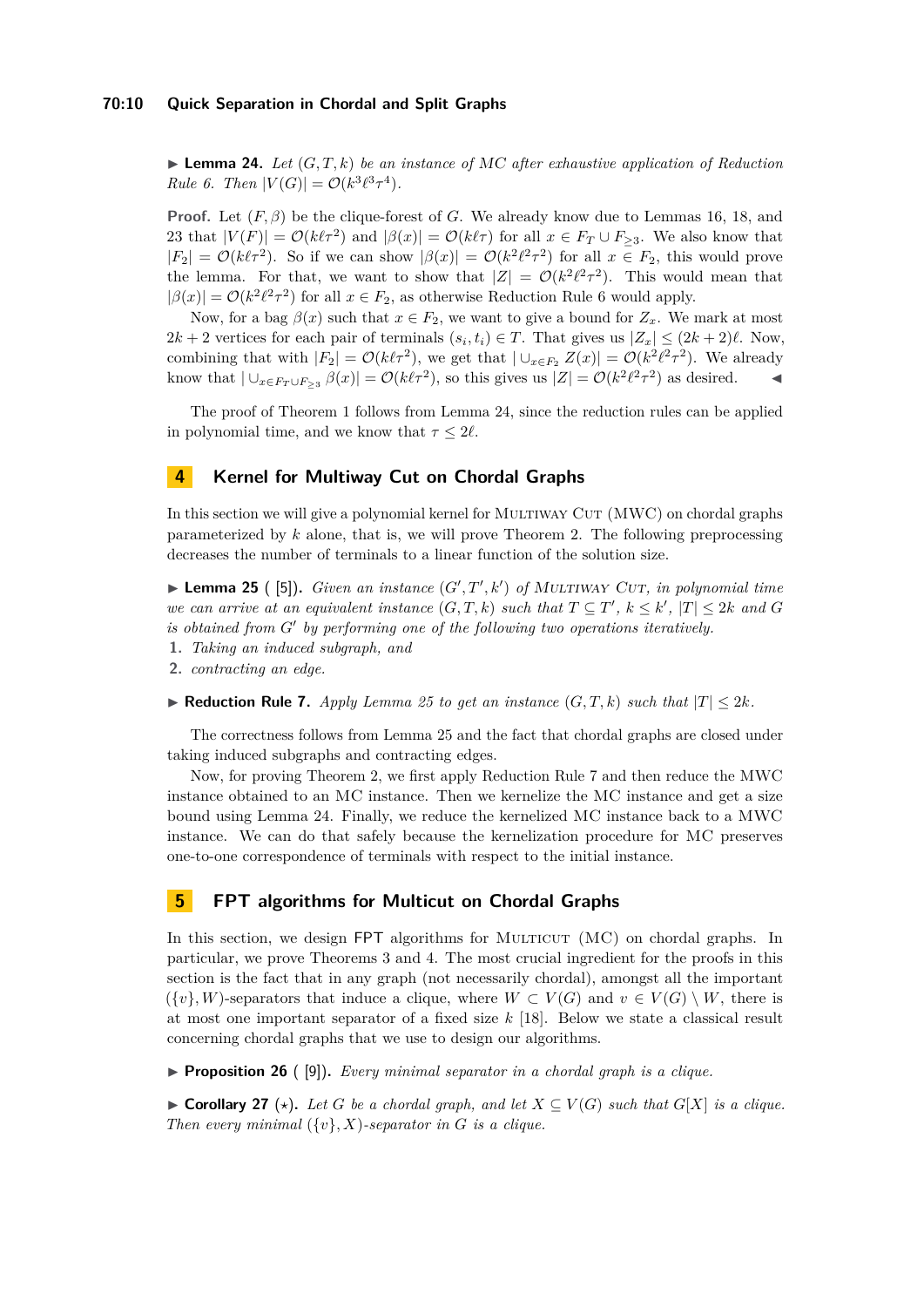#### **70:10 Quick Separation in Chordal and Split Graphs**

 $\blacktriangleright$  **Lemma 24.** Let  $(G, T, k)$  be an instance of MC after exhaustive application of Reduction *Rule* [6.](#page-8-1) *Then*  $|V(G)| = \mathcal{O}(k^3 \ell^3 \tau^4)$ *.* 

**Proof.** Let (*F, β*) be the clique-forest of *G*. We already know due to Lemmas [16,](#page-6-1) [18,](#page-7-3) and [23](#page-8-2) that  $|V(F)| = \mathcal{O}(k\ell\tau^2)$  and  $|\beta(x)| = \mathcal{O}(k\ell\tau)$  for all  $x \in F_T \cup F_{\geq 3}$ . We also know that  $|F_2| = \mathcal{O}(k\ell\tau^2)$ . So if we can show  $|\beta(x)| = \mathcal{O}(k^2\ell^2\tau^2)$  for all  $x \in F_2$ , this would prove the lemma. For that, we want to show that  $|Z| = \mathcal{O}(k^2 \ell^2 \tau^2)$ . This would mean that  $|\beta(x)| = \mathcal{O}(k^2 \ell^2 \tau^2)$  for all  $x \in F_2$ , as otherwise Reduction Rule [6](#page-8-1) would apply.

Now, for a bag  $\beta(x)$  such that  $x \in F_2$ , we want to give a bound for  $Z_x$ . We mark at most 2*k* + 2 vertices for each pair of terminals  $(s_i, t_i) \in T$ . That gives us  $|Z_x| \leq (2k+2)\ell$ . Now, combining that with  $|F_2| = \mathcal{O}(k\ell\tau^2)$ , we get that  $|\cup_{x \in F_2} Z(x)| = \mathcal{O}(k^2\ell^2\tau^2)$ . We already know that  $|\bigcup_{x \in F_T \cup F_{\geq 3}} \beta(x)| = \mathcal{O}(k\ell\tau^2)$ , so this gives us  $|Z| = \mathcal{O}(k^2\ell^2\tau^2)$  as desired.

The proof of Theorem [1](#page-3-0) follows from Lemma [24,](#page-8-3) since the reduction rules can be applied in polynomial time, and we know that  $\tau \leq 2\ell$ .

## **4 Kernel for Multiway Cut on Chordal Graphs**

In this section we will give a polynomial kernel for MULTIWAY CUT (MWC) on chordal graphs parameterized by *k* alone, that is, we will prove Theorem [2.](#page-3-1) The following preprocessing decreases the number of terminals to a linear function of the solution size.

<span id="page-9-0"></span> $\blacktriangleright$  **Lemma 25** ([\[5\]](#page-12-1)). *Given an instance*  $(G', T', k')$  *of MULTIWAY CUT, in polynomial time we can arrive at an equivalent instance*  $(G, T, k)$  *such that*  $T \subseteq T'$ ,  $k \leq k'$ ,  $|T| \leq 2k$  *and G* is obtained from G' by performing one of the following two operations iteratively.

**1.** *Taking an induced subgraph, and*

**2.** *contracting an edge.*

<span id="page-9-1"></span>▶ **Reduction Rule 7.** *Apply Lemma [25](#page-9-0) to get an instance*  $(G, T, k)$  *such that*  $|T|$  ≤ 2*k.* 

The correctness follows from Lemma [25](#page-9-0) and the fact that chordal graphs are closed under taking induced subgraphs and contracting edges.

Now, for proving Theorem [2,](#page-3-1) we first apply Reduction Rule [7](#page-9-1) and then reduce the MWC instance obtained to an MC instance. Then we kernelize the MC instance and get a size bound using Lemma [24.](#page-8-3) Finally, we reduce the kernelized MC instance back to a MWC instance. We can do that safely because the kernelization procedure for MC preserves one-to-one correspondence of terminals with respect to the initial instance.

## **5 FPT algorithms for Multicut on Chordal Graphs**

In this section, we design FPT algorithms for MULTICUT (MC) on chordal graphs. In particular, we prove Theorems [3](#page-3-2) and [4.](#page-3-3) The most crucial ingredient for the proofs in this section is the fact that in any graph (not necessarily chordal), amongst all the important  $({v}, W)$ -separators that induce a clique, where  $W \subset V(G)$  and  $v \in V(G) \setminus W$ , there is at most one important separator of a fixed size *k* [\[18\]](#page-13-3). Below we state a classical result concerning chordal graphs that we use to design our algorithms.

**Proposition 26** ( [\[9\]](#page-13-12)). *Every minimal separator in a chordal graph is a clique.* 

<span id="page-9-2"></span>▶ **Corollary 27** ( $\star$ ). Let *G* be a chordal graph, and let  $X \subseteq V(G)$  such that  $G[X]$  is a clique. *Then every minimal*  $({v}, X)$ *-separator in G is a clique.*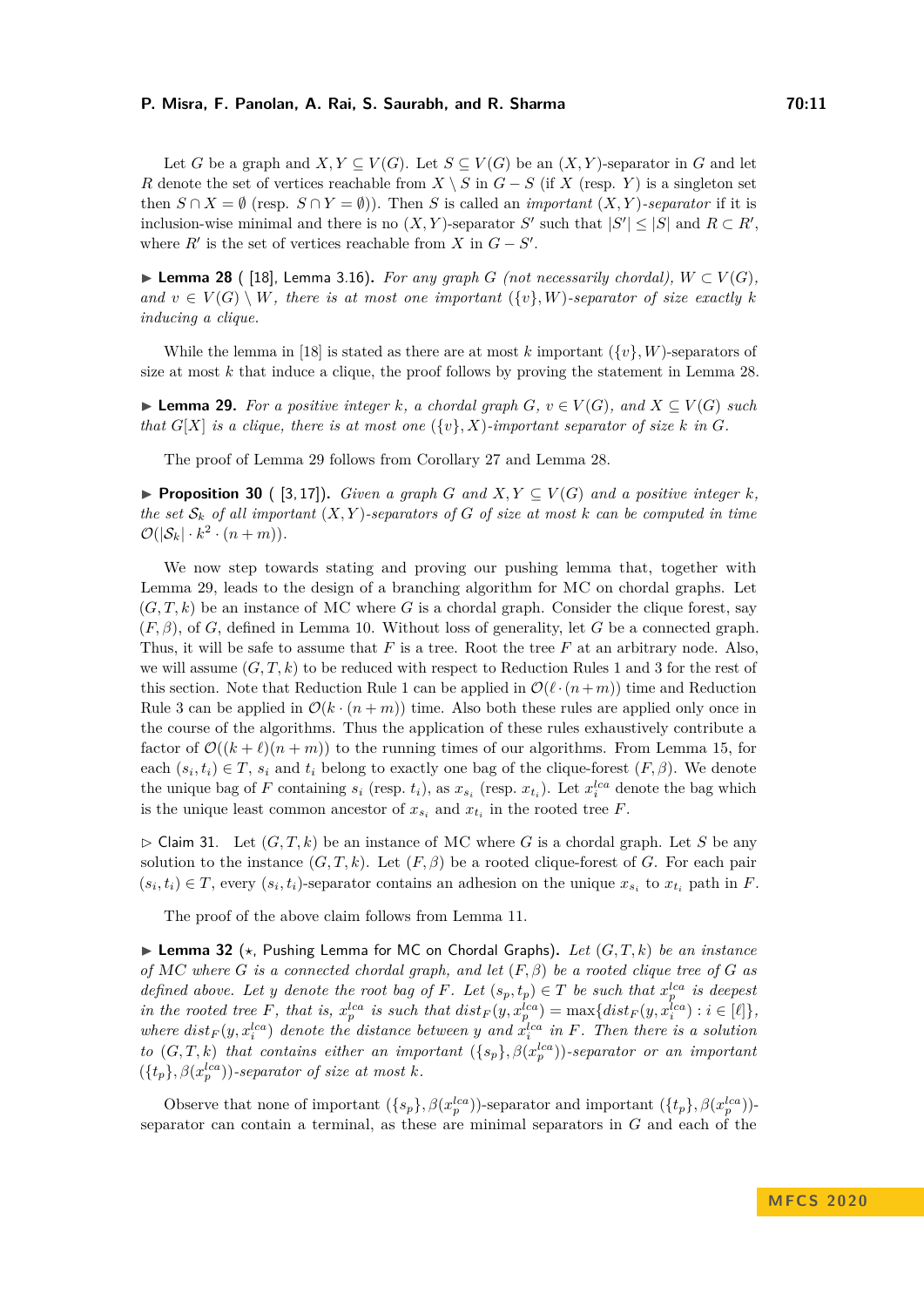#### **P. Misra, F. Panolan, A. Rai, S. Saurabh, and R. Sharma 70:11**

Let *G* be a graph and  $X, Y \subseteq V(G)$ . Let  $S \subseteq V(G)$  be an  $(X, Y)$ -separator in *G* and let *R* denote the set of vertices reachable from  $X \setminus S$  in  $G - S$  (if  $X$  (resp.  $Y$ ) is a singleton set then  $S \cap X = \emptyset$  (resp.  $S \cap Y = \emptyset$ )). Then *S* is called an *important*  $(X, Y)$ *-separator* if it is inclusion-wise minimal and there is no  $(X, Y)$ -separator *S*<sup> $\prime$ </sup> such that  $|S'| \leq |S|$  and  $R \subset R'$ , where  $R'$  is the set of vertices reachable from *X* in  $G - S'$ .

<span id="page-10-0"></span>▶ Lemma 28 ( [\[18\]](#page-13-3), Lemma 3.16). *For any graph G* (not necessarily chordal),  $W \subset V(G)$ , *and*  $v \in V(G) \setminus W$ *, there is at most one important*  $({v}, W)$ *-separator of size exactly k inducing a clique.*

While the lemma in [\[18\]](#page-13-3) is stated as there are at most k important  $({v}, W)$ -separators of size at most *k* that induce a clique, the proof follows by proving the statement in Lemma [28.](#page-10-0)

<span id="page-10-1"></span>▶ **Lemma 29.** For a positive integer k, a chordal graph  $G$ ,  $v \in V(G)$ , and  $X \subseteq V(G)$  such *that*  $G[X]$  *is a clique, there is at most one*  $({v}, X)$ *-important separator of size k in G.* 

The proof of Lemma [29](#page-10-1) follows from Corollary [27](#page-9-2) and Lemma [28.](#page-10-0)

<span id="page-10-3"></span>▶ **Proposition 30** ( [\[3,](#page-12-0) [17\]](#page-13-2)). *Given a graph G and X, Y*  $\subset V(G)$  *and a positive integer k, the set*  $S_k$  *of all important*  $(X, Y)$ *-separators of G of size at most k can be computed in time*  $\mathcal{O}(|\mathcal{S}_k| \cdot k^2 \cdot (n+m)).$ 

We now step towards stating and proving our pushing lemma that, together with Lemma [29,](#page-10-1) leads to the design of a branching algorithm for MC on chordal graphs. Let  $(G, T, k)$  be an instance of MC where G is a chordal graph. Consider the clique forest, say (*F, β*), of *G*, defined in Lemma [10.](#page-4-1) Without loss of generality, let *G* be a connected graph. Thus, it will be safe to assume that *F* is a tree. Root the tree *F* at an arbitrary node. Also, we will assume  $(G, T, k)$  to be reduced with respect to Reduction Rules [1](#page-5-2) and [3](#page-6-0) for the rest of this section. Note that Reduction Rule [1](#page-5-2) can be applied in  $\mathcal{O}(\ell \cdot (n+m))$  time and Reduction Rule [3](#page-6-0) can be applied in  $\mathcal{O}(k \cdot (n+m))$  time. Also both these rules are applied only once in the course of the algorithms. Thus the application of these rules exhaustively contribute a factor of  $\mathcal{O}((k + \ell)(n + m))$  to the running times of our algorithms. From Lemma [15,](#page-6-2) for each  $(s_i, t_i) \in T$ ,  $s_i$  and  $t_i$  belong to exactly one bag of the clique-forest  $(F, \beta)$ . We denote the unique bag of *F* containing  $s_i$  (resp.  $t_i$ ), as  $x_{s_i}$  (resp.  $x_{t_i}$ ). Let  $x_i^{lca}$  denote the bag which is the unique least common ancestor of  $x_{s_i}$  and  $x_{t_i}$  in the rooted tree  $F$ .

 $\triangleright$  Claim 31. Let  $(G, T, k)$  be an instance of MC where *G* is a chordal graph. Let *S* be any solution to the instance  $(G, T, k)$ . Let  $(F, \beta)$  be a rooted clique-forest of *G*. For each pair  $(s_i, t_i) \in T$ , every  $(s_i, t_i)$ -separator contains an adhesion on the unique  $x_{s_i}$  to  $x_{t_i}$  path in *F*.

The proof of the above claim follows from Lemma [11.](#page-5-3)

<span id="page-10-2"></span> $\blacktriangleright$  **Lemma 32** ( $\star$ , Pushing Lemma for MC on Chordal Graphs). Let  $(G, T, k)$  be an instance *of* MC *where G is a connected chordal graph, and let* (*F, β*) *be a rooted clique tree of G as defined above. Let y denote the root bag of F. Let*  $(s_p, t_p) \in T$  *be such that*  $x_p^{\text{lca}}$  *is deepest* in the rooted tree F, that is,  $x_p^{lca}$  is such that  $dist_F(y, x_p^{lca}) = \max\{dist_F(y, x_i^{lca}) : i \in [\ell]\},$ *where*  $dist_F(y, x_i^{lca})$  *denote the distance between y and*  $x_i^{lca}$  *in F*. Then there is a solution *to*  $(G, T, k)$  *that contains either an important*  $({s_p}, \beta(x_p^{lca}))$ *-separator or an important*  $(\lbrace t_p \rbrace, \beta(x_p^{lca})\rbrace)$ -separator of size at most *k*.

Observe that none of important  $(\{s_p\}, \beta(x_p^{lca})\})$ -separator and important  $(\{t_p\}, \beta(x_p^{lca})\})$ separator can contain a terminal, as these are minimal separators in *G* and each of the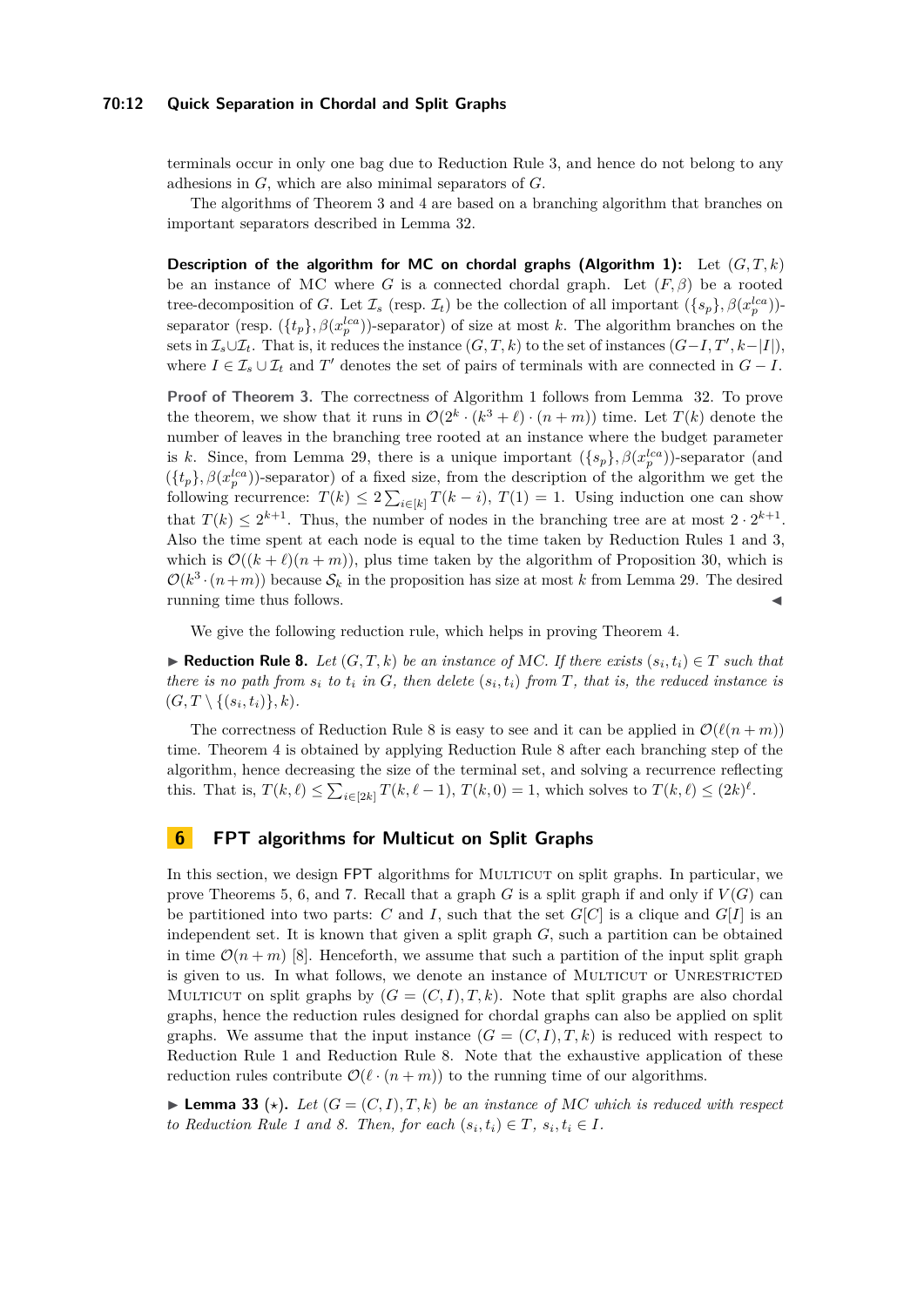#### **70:12 Quick Separation in Chordal and Split Graphs**

terminals occur in only one bag due to Reduction Rule [3,](#page-6-0) and hence do not belong to any adhesions in *G*, which are also minimal separators of *G*.

The algorithms of Theorem [3](#page-3-2) and [4](#page-3-3) are based on a branching algorithm that branches on important separators described in Lemma [32.](#page-10-2)

**Description of the algorithm for MC on chordal graphs (Algorithm 1):** Let  $(G, T, k)$ be an instance of MC where *G* is a connected chordal graph. Let  $(F, \beta)$  be a rooted tree-decomposition of *G*. Let  $\mathcal{I}_s$  (resp.  $\mathcal{I}_t$ ) be the collection of all important  $(\{s_p\}, \beta(x_p^{lca}))$ separator (resp.  $(\{t_p\}, \beta(x_p^{lca}))$ -separator) of size at most *k*. The algorithm branches on the sets in  $\mathcal{I}_s \cup \mathcal{I}_t$ . That is, it reduces the instance  $(G, T, k)$  to the set of instances  $(G-I, T', k-|I|)$ , where  $I \in \mathcal{I}_s \cup \mathcal{I}_t$  and  $T'$  denotes the set of pairs of terminals with are connected in  $G - I$ .

**Proof of Theorem [3.](#page-3-2)** The correctness of Algorithm 1 follows from Lemma [32.](#page-10-2) To prove the theorem, we show that it runs in  $\mathcal{O}(2^k \cdot (k^3 + \ell) \cdot (n + m))$  time. Let  $T(k)$  denote the number of leaves in the branching tree rooted at an instance where the budget parameter is *k*. Since, from Lemma [29,](#page-10-1) there is a unique important  $({s_p}, \beta(x_p^{lca}))$ -separator (and  $({t_p}, \beta(x_p^{lca}))$ -separator) of a fixed size, from the description of the algorithm we get the following recurrence:  $T(k) \leq 2 \sum_{i \in [k]} T(k-i)$ ,  $T(1) = 1$ . Using induction one can show that  $T(k) \leq 2^{k+1}$ . Thus, the number of nodes in the branching tree are at most  $2 \cdot 2^{k+1}$ . Also the time spent at each node is equal to the time taken by Reduction Rules [1](#page-5-2) and [3,](#page-6-0) which is  $\mathcal{O}((k + \ell)(n + m))$ , plus time taken by the algorithm of Proposition [30,](#page-10-3) which is  $\mathcal{O}(k^3 \cdot (n+m))$  because  $\mathcal{S}_k$  in the proposition has size at most k from Lemma [29.](#page-10-1) The desired running time thus follows.

We give the following reduction rule, which helps in proving Theorem [4.](#page-3-3)

<span id="page-11-0"></span>▶ **Reduction Rule 8.** *Let*  $(G, T, k)$  *be an instance of MC. If there exists*  $(s_i, t_i) \in T$  *such that there is no path from*  $s_i$  *to*  $t_i$  *in*  $G$ *, then delete*  $(s_i, t_i)$  *from*  $T$ *, that is, the reduced instance is*  $(G, T \setminus \{(s_i, t_i)\}, k).$ 

The correctness of Reduction Rule [8](#page-11-0) is easy to see and it can be applied in  $\mathcal{O}(\ell(n + m))$ time. Theorem [4](#page-3-3) is obtained by applying Reduction Rule [8](#page-11-0) after each branching step of the algorithm, hence decreasing the size of the terminal set, and solving a recurrence reflecting this. That is,  $T(k, \ell) \leq \sum_{i \in [2k]} T(k, \ell - 1)$ ,  $T(k, 0) = 1$ , which solves to  $T(k, \ell) \leq (2k)^{\ell}$ .

## **6 FPT algorithms for Multicut on Split Graphs**

In this section, we design FPT algorithms for MULTICUT on split graphs. In particular, we prove Theorems [5,](#page-3-4) [6,](#page-3-5) and [7.](#page-3-6) Recall that a graph  $G$  is a split graph if and only if  $V(G)$  can be partitioned into two parts: *C* and *I*, such that the set  $G[C]$  is a clique and  $G[I]$  is an independent set. It is known that given a split graph *G*, such a partition can be obtained in time  $\mathcal{O}(n+m)$  [\[8\]](#page-13-13). Henceforth, we assume that such a partition of the input split graph is given to us. In what follows, we denote an instance of MULTICUT or UNRESTRICTED MULTICUT on split graphs by  $(G = (C, I), T, k)$ . Note that split graphs are also chordal graphs, hence the reduction rules designed for chordal graphs can also be applied on split graphs. We assume that the input instance  $(G = (C, I), T, k)$  is reduced with respect to Reduction Rule [1](#page-5-2) and Reduction Rule [8.](#page-11-0) Note that the exhaustive application of these reduction rules contribute  $\mathcal{O}(\ell \cdot (n+m))$  to the running time of our algorithms.

**Lemma 33** ( $\star$ ). Let  $(G = (C, I), T, k)$  be an instance of MC which is reduced with respect *to Reduction Rule* [1](#page-5-2) *and* [8.](#page-11-0) Then, for each  $(s_i, t_i) \in T$ ,  $s_i, t_i \in I$ .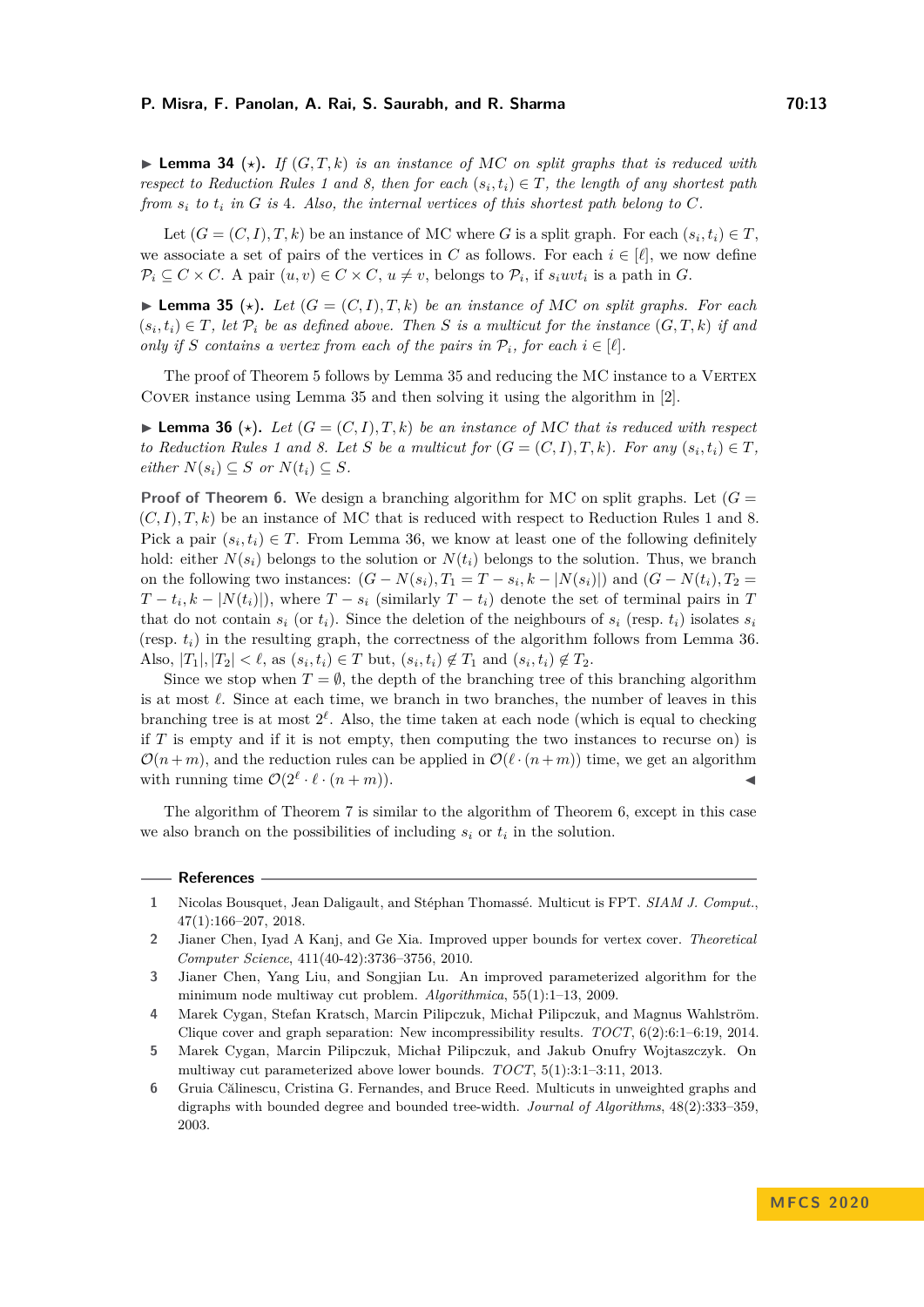$\blacktriangleright$  **Lemma 34** ( $\star$ ). If  $(G, T, k)$  is an instance of MC on split graphs that is reduced with *respect to Reduction Rules* [1](#page-5-2) *and* [8,](#page-11-0) *then for each*  $(s_i, t_i) \in T$ , *the length of any shortest path from*  $s_i$  *to*  $t_i$  *in*  $G$  *is* 4*. Also, the internal vertices of this shortest path belong to*  $C$ *.* 

Let  $(G = (C, I), T, k)$  be an instance of MC where *G* is a split graph. For each  $(s_i, t_i) \in T$ , we associate a set of pairs of the vertices in *C* as follows. For each  $i \in [\ell]$ , we now define  $\mathcal{P}_i \subseteq C \times C$ . A pair  $(u, v) \in C \times C$ ,  $u \neq v$ , belongs to  $\mathcal{P}_i$ , if  $s_i w t_i$  is a path in *G*.

<span id="page-12-5"></span>**Lemma 35** ( $\star$ ). Let  $(G = (C, I), T, k)$  be an instance of MC on split graphs. For each  $(s_i, t_i) \in T$ , let  $\mathcal{P}_i$  be as defined above. Then S is a multicut for the instance  $(G, T, k)$  if and *only if S contains a vertex from each of the pairs in*  $\mathcal{P}_i$ *, for each*  $i \in [\ell]$ *.* 

The proof of Theorem [5](#page-3-4) follows by Lemma [35](#page-12-5) and reducing the MC instance to a Vertex Cover instance using Lemma [35](#page-12-5) and then solving it using the algorithm in [\[2\]](#page-12-6).

<span id="page-12-7"></span>**Lemma 36** ( $\star$ ). Let  $(G = (C, I), T, k)$  be an instance of MC that is reduced with respect *to Reduction Rules* [1](#page-5-2) *and* [8.](#page-11-0) Let *S be a multicut for*  $(G = (C, I), T, k)$ *. For any*  $(s_i, t_i) \in T$ *,*  $e$ *ither*  $N(s_i) \subseteq S$  *or*  $N(t_i) \subseteq S$ *.* 

**Proof of Theorem [6.](#page-3-5)** We design a branching algorithm for MC on split graphs. Let  $(G =$  $(C, I), T, k$  be an instance of MC that is reduced with respect to Reduction Rules [1](#page-5-2) and [8.](#page-11-0) Pick a pair  $(s_i, t_i) \in T$ . From Lemma [36,](#page-12-7) we know at least one of the following definitely hold: either  $N(s_i)$  belongs to the solution or  $N(t_i)$  belongs to the solution. Thus, we branch on the following two instances:  $(G - N(s_i), T_1 = T - s_i, k - |N(s_i)|)$  and  $(G - N(t_i), T_2 =$  $T - t_i, k - |N(t_i)|$ , where  $T - s_i$  (similarly  $T - t_i$ ) denote the set of terminal pairs in *T* that do not contain  $s_i$  (or  $t_i$ ). Since the deletion of the neighbours of  $s_i$  (resp.  $t_i$ ) isolates  $s_i$ (resp.  $t_i$ ) in the resulting graph, the correctness of the algorithm follows from Lemma [36.](#page-12-7) Also,  $|T_1|, |T_2| < \ell$ , as  $(s_i, t_i) \in T$  but,  $(s_i, t_i) \notin T_1$  and  $(s_i, t_i) \notin T_2$ .

Since we stop when  $T = \emptyset$ , the depth of the branching tree of this branching algorithm is at most  $\ell$ . Since at each time, we branch in two branches, the number of leaves in this branching tree is at most  $2^{\ell}$ . Also, the time taken at each node (which is equal to checking if *T* is empty and if it is not empty, then computing the two instances to recurse on) is  $\mathcal{O}(n+m)$ , and the reduction rules can be applied in  $\mathcal{O}(\ell \cdot (n+m))$  time, we get an algorithm with running time  $\mathcal{O}(2^{\ell} \cdot \ell \cdot (n+m)).$ 

The algorithm of Theorem [7](#page-3-6) is similar to the algorithm of Theorem [6,](#page-3-5) except in this case we also branch on the possibilities of including  $s_i$  or  $t_i$  in the solution.

#### **References**

<span id="page-12-2"></span>**<sup>1</sup>** Nicolas Bousquet, Jean Daligault, and Stéphan Thomassé. Multicut is FPT. *SIAM J. Comput.*, 47(1):166–207, 2018.

<span id="page-12-6"></span>**<sup>2</sup>** Jianer Chen, Iyad A Kanj, and Ge Xia. Improved upper bounds for vertex cover. *Theoretical Computer Science*, 411(40-42):3736–3756, 2010.

<span id="page-12-0"></span>**<sup>3</sup>** Jianer Chen, Yang Liu, and Songjian Lu. An improved parameterized algorithm for the minimum node multiway cut problem. *Algorithmica*, 55(1):1–13, 2009.

<span id="page-12-3"></span>**<sup>4</sup>** Marek Cygan, Stefan Kratsch, Marcin Pilipczuk, Michał Pilipczuk, and Magnus Wahlström. Clique cover and graph separation: New incompressibility results. *TOCT*, 6(2):6:1–6:19, 2014.

<span id="page-12-1"></span>**<sup>5</sup>** Marek Cygan, Marcin Pilipczuk, Michał Pilipczuk, and Jakub Onufry Wojtaszczyk. On multiway cut parameterized above lower bounds. *TOCT*, 5(1):3:1–3:11, 2013.

<span id="page-12-4"></span>**<sup>6</sup>** Gruia Călinescu, Cristina G. Fernandes, and Bruce Reed. Multicuts in unweighted graphs and digraphs with bounded degree and bounded tree-width. *Journal of Algorithms*, 48(2):333–359, 2003.